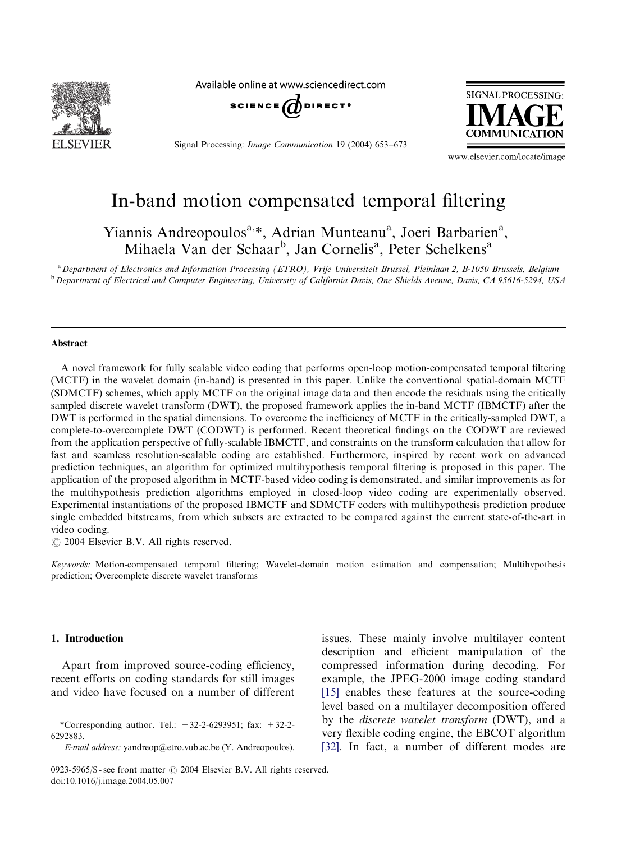

Available online at www.sciencedirect.com



Signal Processing: Image Communication 19 (2004) 653–673



www.elsevier.com/locate/image

# In-band motion compensated temporal filtering

Yiannis Andreopoulos<sup>a,\*</sup>, Adrian Munteanu<sup>a</sup>, Joeri Barbarien<sup>a</sup>, Mihaela Van der Schaar<sup>b</sup>, Jan Cornelis<sup>a</sup>, Peter Schelkens<sup>a</sup>

a Department of Electronics and Information Processing (ETRO), Vrije Universiteit Brussel, Pleinlaan 2, B-1050 Brussels, Belgium <sup>b</sup> Department of Electrical and Computer Engineering, University of California Davis, One Shields Avenue, Davis, CA 95616-5294, USA

#### Abstract

A novel framework for fully scalable video coding that performs open-loop motion-compensated temporal filtering (MCTF) in the wavelet domain (in-band) is presented in this paper. Unlike the conventional spatial-domain MCTF (SDMCTF) schemes, which apply MCTF on the original image data and then encode the residuals using the critically sampled discrete wavelet transform (DWT), the proposed framework applies the in-band MCTF (IBMCTF) after the DWT is performed in the spatial dimensions. To overcome the inefficiency of MCTF in the critically-sampled DWT, a complete-to-overcomplete DWT (CODWT) is performed. Recent theoretical findings on the CODWT are reviewed from the application perspective of fully-scalable IBMCTF, and constraints on the transform calculation that allow for fast and seamless resolution-scalable coding are established. Furthermore, inspired by recent work on advanced prediction techniques, an algorithm for optimized multihypothesis temporal filtering is proposed in this paper. The application of the proposed algorithm in MCTF-based video coding is demonstrated, and similar improvements as for the multihypothesis prediction algorithms employed in closed-loop video coding are experimentally observed. Experimental instantiations of the proposed IBMCTF and SDMCTF coders with multihypothesis prediction produce single embedded bitstreams, from which subsets are extracted to be compared against the current state-of-the-art in video coding.

 $\odot$  2004 Elsevier B.V. All rights reserved.

Keywords: Motion-compensated temporal filtering; Wavelet-domain motion estimation and compensation; Multihypothesis prediction; Overcomplete discrete wavelet transforms

#### 1. Introduction

Apart from improved source-coding efficiency, recent efforts on coding standards for still images and video have focused on a number of different issues. These mainly involve multilayer content description and efficient manipulation of the compressed information during decoding. For example, the JPEG-2000 image coding standard [\[15\]](#page-19-0) enables these features at the source-coding level based on a multilayer decomposition offered by the discrete wavelet transform (DWT), and a very flexible coding engine, the EBCOT algorithm [\[32\]](#page-19-0). In fact, a number of different modes are

<sup>\*</sup>Corresponding author. Tel.:  $+32-2-6293951$ ; fax:  $+32-2-$ 6292883.

E-mail address: yandreop@etro.vub.ac.be (Y. Andreopoulos).

<sup>0923-5965/\$ -</sup> see front matter  $\odot$  2004 Elsevier B.V. All rights reserved. doi:10.1016/j.image.2004.05.007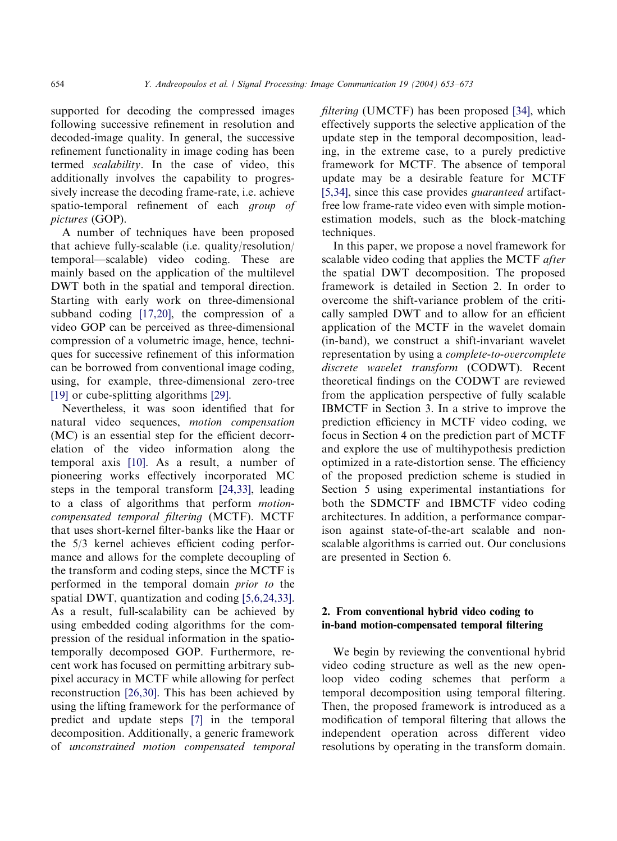supported for decoding the compressed images following successive refinement in resolution and decoded-image quality. In general, the successive refinement functionality in image coding has been termed scalability. In the case of video, this additionally involves the capability to progressively increase the decoding frame-rate, i.e. achieve spatio-temporal refinement of each group of pictures (GOP).

A number of techniques have been proposed that achieve fully-scalable (i.e. quality/resolution/ temporal—scalable) video coding. These are mainly based on the application of the multilevel DWT both in the spatial and temporal direction. Starting with early work on three-dimensional subband coding [\[17,20\],](#page-19-0) the compression of a video GOP can be perceived as three-dimensional compression of a volumetric image, hence, techniques for successive refinement of this information can be borrowed from conventional image coding, using, for example, three-dimensional zero-tree [\[19\]](#page-19-0) or cube-splitting algorithms [\[29\].](#page-19-0)

Nevertheless, it was soon identified that for natural video sequences, motion compensation  $(MC)$  is an essential step for the efficient decorrelation of the video information along the temporal axis [\[10\]](#page-19-0). As a result, a number of pioneering works effectively incorporated MC steps in the temporal transform [\[24,33\]](#page-19-0), leading to a class of algorithms that perform motioncompensated temporal filtering (MCTF). MCTF that uses short-kernel filter-banks like the Haar or the 5/3 kernel achieves efficient coding performance and allows for the complete decoupling of the transform and coding steps, since the MCTF is performed in the temporal domain prior to the spatial DWT, quantization and coding [\[5,6,24,33\]](#page-18-0). As a result, full-scalability can be achieved by using embedded coding algorithms for the compression of the residual information in the spatiotemporally decomposed GOP. Furthermore, recent work has focused on permitting arbitrary subpixel accuracy in MCTF while allowing for perfect reconstruction [\[26,30\]](#page-19-0). This has been achieved by using the lifting framework for the performance of predict and update steps [\[7\]](#page-19-0) in the temporal decomposition. Additionally, a generic framework of unconstrained motion compensated temporal filtering (UMCTF) has been proposed [\[34\],](#page-19-0) which effectively supports the selective application of the update step in the temporal decomposition, leading, in the extreme case, to a purely predictive framework for MCTF. The absence of temporal update may be a desirable feature for MCTF [\[5,34\],](#page-18-0) since this case provides *quaranteed* artifactfree low frame-rate video even with simple motionestimation models, such as the block-matching techniques.

In this paper, we propose a novel framework for scalable video coding that applies the MCTF after the spatial DWT decomposition. The proposed framework is detailed in Section 2. In order to overcome the shift-variance problem of the critically sampled DWT and to allow for an efficient application of the MCTF in the wavelet domain (in-band), we construct a shift-invariant wavelet representation by using a complete-to-overcomplete discrete wavelet transform (CODWT). Recent theoretical findings on the CODWT are reviewed from the application perspective of fully scalable IBMCTF in Section 3. In a strive to improve the prediction efficiency in MCTF video coding, we focus in Section 4 on the prediction part of MCTF and explore the use of multihypothesis prediction optimized in a rate-distortion sense. The efficiency of the proposed prediction scheme is studied in Section 5 using experimental instantiations for both the SDMCTF and IBMCTF video coding architectures. In addition, a performance comparison against state-of-the-art scalable and nonscalable algorithms is carried out. Our conclusions are presented in Section 6.

# 2. From conventional hybrid video coding to in-band motion-compensated temporal filtering

We begin by reviewing the conventional hybrid video coding structure as well as the new openloop video coding schemes that perform a temporal decomposition using temporal filtering. Then, the proposed framework is introduced as a modification of temporal filtering that allows the independent operation across different video resolutions by operating in the transform domain.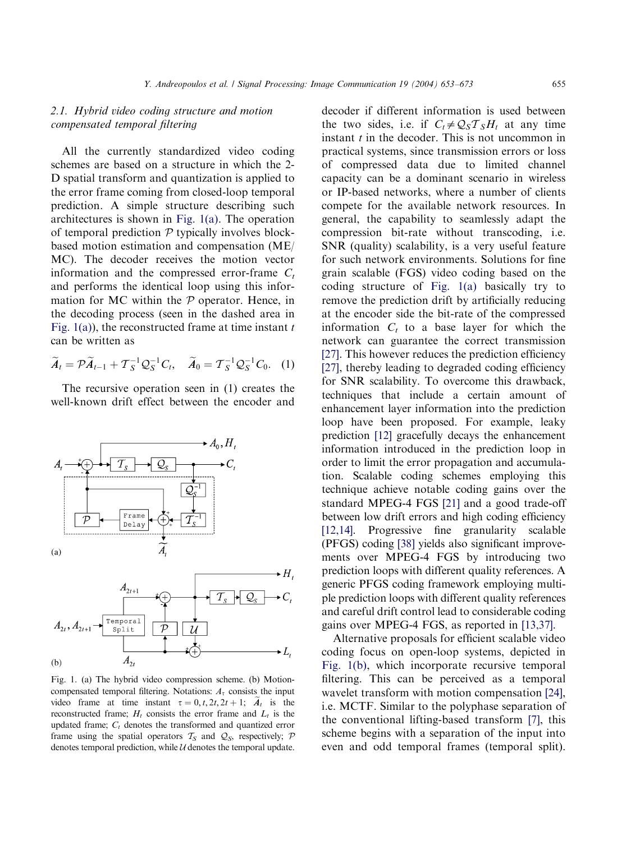# <span id="page-2-0"></span>2.1. Hybrid video coding structure and motion compensated temporal filtering

All the currently standardized video coding schemes are based on a structure in which the 2- D spatial transform and quantization is applied to the error frame coming from closed-loop temporal prediction. A simple structure describing such architectures is shown in Fig. 1(a). The operation of temporal prediction  $P$  typically involves blockbased motion estimation and compensation (ME/ MC). The decoder receives the motion vector information and the compressed error-frame  $C_t$ and performs the identical loop using this information for MC within the  $P$  operator. Hence, in the decoding process (seen in the dashed area in Fig. 1(a)), the reconstructed frame at time instant  $t$ can be written as

$$
\widetilde{A}_t = \mathcal{P}\widetilde{A}_{t-1} + \mathcal{T}_S^{-1}\mathcal{Q}_S^{-1}C_t, \quad \widetilde{A}_0 = \mathcal{T}_S^{-1}\mathcal{Q}_S^{-1}C_0. \quad (1)
$$

The recursive operation seen in (1) creates the well-known drift effect between the encoder and



Fig. 1. (a) The hybrid video compression scheme. (b) Motioncompensated temporal filtering. Notations:  $A<sub>\tau</sub>$  consists the input video frame at time instant  $\tau = 0, t, 2t, 2t + 1; A_t$  is the reconstructed frame;  $H_t$  consists the error frame and  $L_t$  is the updated frame;  $C_t$  denotes the transformed and quantized error frame using the spatial operators  $T_S$  and  $Q_S$ , respectively; P denotes temporal prediction, while  $U$  denotes the temporal update.

decoder if different information is used between the two sides, i.e. if  $C_t \neq Q_S \mathcal{T}_S H_t$  at any time instant  $t$  in the decoder. This is not uncommon in practical systems, since transmission errors or loss of compressed data due to limited channel capacity can be a dominant scenario in wireless or IP-based networks, where a number of clients compete for the available network resources. In general, the capability to seamlessly adapt the compression bit-rate without transcoding, i.e. SNR (quality) scalability, is a very useful feature for such network environments. Solutions for fine grain scalable (FGS) video coding based on the coding structure of Fig. 1(a) basically try to remove the prediction drift by artificially reducing at the encoder side the bit-rate of the compressed information  $C_t$  to a base layer for which the network can guarantee the correct transmission [\[27\]](#page-19-0). This however reduces the prediction efficiency [\[27\]](#page-19-0), thereby leading to degraded coding efficiency for SNR scalability. To overcome this drawback, techniques that include a certain amount of enhancement layer information into the prediction loop have been proposed. For example, leaky prediction [\[12\]](#page-19-0) gracefully decays the enhancement information introduced in the prediction loop in order to limit the error propagation and accumulation. Scalable coding schemes employing this technique achieve notable coding gains over the standard MPEG-4 FGS [\[21\]](#page-19-0) and a good trade-off between low drift errors and high coding efficiency [\[12,14\]](#page-19-0). Progressive fine granularity scalable (PFGS) coding [\[38\]](#page-20-0) yields also significant improvements over MPEG-4 FGS by introducing two prediction loops with different quality references. A generic PFGS coding framework employing multiple prediction loops with different quality references and careful drift control lead to considerable coding gains over MPEG-4 FGS, as reported in [\[13,37\].](#page-19-0)

Alternative proposals for efficient scalable video coding focus on open-loop systems, depicted in Fig. 1(b), which incorporate recursive temporal filtering. This can be perceived as a temporal wavelet transform with motion compensation [\[24\]](#page-19-0), i.e. MCTF. Similar to the polyphase separation of the conventional lifting-based transform [\[7\]](#page-19-0), this scheme begins with a separation of the input into even and odd temporal frames (temporal split).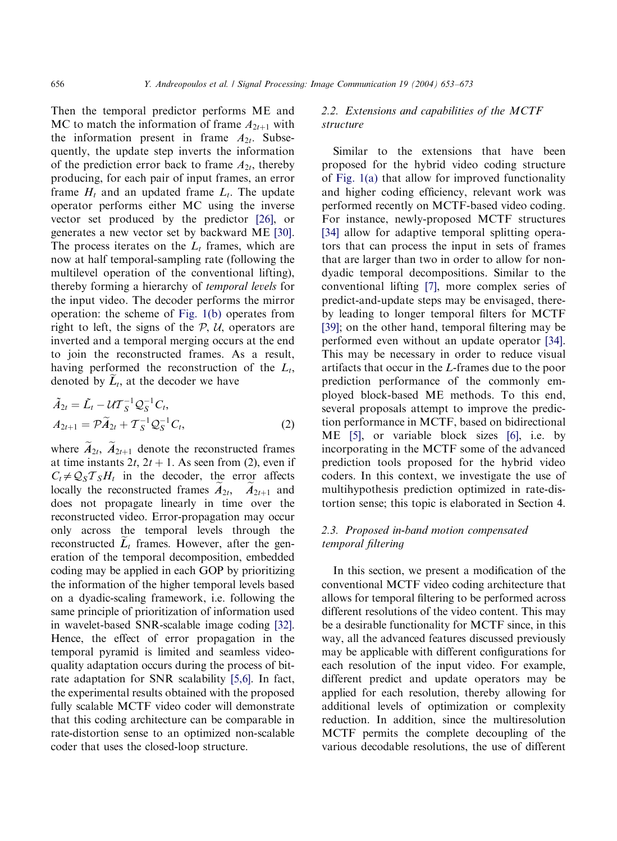Then the temporal predictor performs ME and MC to match the information of frame  $A_{2t+1}$  with the information present in frame  $A_{2t}$ . Subsequently, the update step inverts the information of the prediction error back to frame  $A_{2t}$ , thereby producing, for each pair of input frames, an error frame  $H_t$  and an updated frame  $L_t$ . The update operator performs either MC using the inverse vector set produced by the predictor [\[26\]](#page-19-0), or generates a new vector set by backward ME [\[30\]](#page-19-0). The process iterates on the  $L_t$  frames, which are now at half temporal-sampling rate (following the multilevel operation of the conventional lifting), thereby forming a hierarchy of temporal levels for the input video. The decoder performs the mirror operation: the scheme of [Fig. 1\(b\)](#page-2-0) operates from right to left, the signs of the  $P$ ,  $U$ , operators are inverted and a temporal merging occurs at the end to join the reconstructed frames. As a result, having performed the reconstruction of the  $L_t$ , denoted by  $L_t$ , at the decoder we have

$$
\tilde{A}_{2t} = \tilde{L}_t - \mathcal{U} \mathcal{T}_S^{-1} \mathcal{Q}_S^{-1} C_t, \n A_{2t+1} = \mathcal{P} \tilde{A}_{2t} + \mathcal{T}_S^{-1} \mathcal{Q}_S^{-1} C_t,
$$
\n(2)

where  $\widetilde{A}_{2t}$ ,  $\widetilde{A}_{2t+1}$  denote the reconstructed frames at time instants  $2t$ ,  $2t + 1$ . As seen from (2), even if  $C_t \neq Q_S T_S H_t$  in the decoder, the error affects locally the reconstructed frames  $A_{2t}$ ,  $A_{2t+1}$  and does not propagate linearly in time over the reconstructed video. Error-propagation may occur only across the temporal levels through the reconstructed  $L_t$  frames. However, after the generation of the temporal decomposition, embedded coding may be applied in each GOP by prioritizing the information of the higher temporal levels based on a dyadic-scaling framework, i.e. following the same principle of prioritization of information used in wavelet-based SNR-scalable image coding [\[32\]](#page-19-0). Hence, the effect of error propagation in the temporal pyramid is limited and seamless videoquality adaptation occurs during the process of bitrate adaptation for SNR scalability [\[5,6\]](#page-18-0). In fact, the experimental results obtained with the proposed fully scalable MCTF video coder will demonstrate that this coding architecture can be comparable in rate-distortion sense to an optimized non-scalable coder that uses the closed-loop structure.

## 2.2. Extensions and capabilities of the MCTF structure

Similar to the extensions that have been proposed for the hybrid video coding structure of [Fig. 1\(a\)](#page-2-0) that allow for improved functionality and higher coding efficiency, relevant work was performed recently on MCTF-based video coding. For instance, newly-proposed MCTF structures [\[34\]](#page-19-0) allow for adaptive temporal splitting operators that can process the input in sets of frames that are larger than two in order to allow for nondyadic temporal decompositions. Similar to the conventional lifting [\[7\]](#page-19-0), more complex series of predict-and-update steps may be envisaged, thereby leading to longer temporal filters for MCTF [\[39\]](#page-20-0); on the other hand, temporal filtering may be performed even without an update operator [\[34\]](#page-19-0). This may be necessary in order to reduce visual artifacts that occur in the L-frames due to the poor prediction performance of the commonly employed block-based ME methods. To this end, several proposals attempt to improve the prediction performance in MCTF, based on bidirectional ME [\[5\],](#page-18-0) or variable block sizes [\[6\],](#page-18-0) i.e. by incorporating in the MCTF some of the advanced prediction tools proposed for the hybrid video coders. In this context, we investigate the use of multihypothesis prediction optimized in rate-distortion sense; this topic is elaborated in Section 4.

# 2.3. Proposed in-band motion compensated temporal filtering

In this section, we present a modification of the conventional MCTF video coding architecture that allows for temporal filtering to be performed across different resolutions of the video content. This may be a desirable functionality for MCTF since, in this way, all the advanced features discussed previously may be applicable with different configurations for each resolution of the input video. For example, different predict and update operators may be applied for each resolution, thereby allowing for additional levels of optimization or complexity reduction. In addition, since the multiresolution MCTF permits the complete decoupling of the various decodable resolutions, the use of different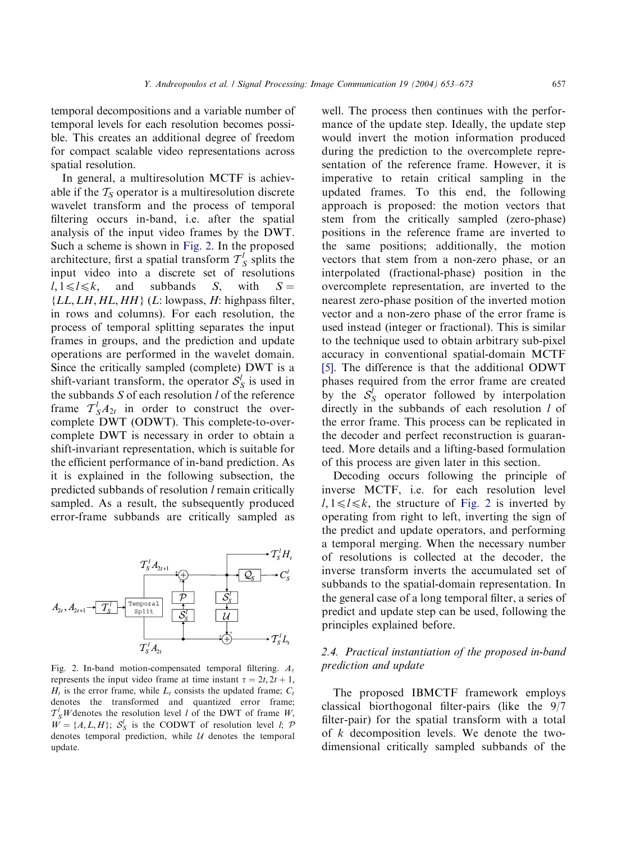<span id="page-4-0"></span>temporal decompositions and a variable number of temporal levels for each resolution becomes possible. This creates an additional degree of freedom for compact scalable video representations across spatial resolution.

In general, a multiresolution MCTF is achievable if the  $T<sub>S</sub>$  operator is a multiresolution discrete wavelet transform and the process of temporal filtering occurs in-band, i.e. after the spatial analysis of the input video frames by the DWT. Such a scheme is shown in Fig. 2. In the proposed architecture, first a spatial transform  $T_S^l$  splits the input video into a discrete set of resolutions  $l, 1 \le l \le k$ , and subbands S, with  $S =$  ${LL, LH, HL, HH}$  (*L*: lowpass, *H*: highpass filter, in rows and columns). For each resolution, the process of temporal splitting separates the input frames in groups, and the prediction and update operations are performed in the wavelet domain. Since the critically sampled (complete) DWT is a shift-variant transform, the operator  $S_S^l$  is used in the subbands  $S$  of each resolution  $l$  of the reference frame  $T_S^l A_{2t}$  in order to construct the overcomplete DWT (ODWT). This complete-to-overcomplete DWT is necessary in order to obtain a shift-invariant representation, which is suitable for the efficient performance of in-band prediction. As it is explained in the following subsection, the predicted subbands of resolution l remain critically sampled. As a result, the subsequently produced error-frame subbands are critically sampled as



Fig. 2. In-band motion-compensated temporal filtering.  $A_t$ represents the input video frame at time instant  $\tau = 2t, 2t + 1$ ;  $H_t$  is the error frame, while  $L_t$  consists the updated frame;  $C_t$ denotes the transformed and quantized error frame;  $T_S^l$  *W* denotes the resolution level *l* of the DWT of frame *W*,  $W = \{A, L, H\}$ ;  $S_S^l$  is the CODWT of resolution level *l*; P denotes temporal prediction, while  $U$  denotes the temporal update.

well. The process then continues with the performance of the update step. Ideally, the update step would invert the motion information produced during the prediction to the overcomplete representation of the reference frame. However, it is imperative to retain critical sampling in the updated frames. To this end, the following approach is proposed: the motion vectors that stem from the critically sampled (zero-phase) positions in the reference frame are inverted to the same positions; additionally, the motion vectors that stem from a non-zero phase, or an interpolated (fractional-phase) position in the overcomplete representation, are inverted to the nearest zero-phase position of the inverted motion vector and a non-zero phase of the error frame is used instead (integer or fractional). This is similar to the technique used to obtain arbitrary sub-pixel accuracy in conventional spatial-domain MCTF [\[5\]](#page-18-0). The difference is that the additional ODWT phases required from the error frame are created by the  $S_S^l$  operator followed by interpolation directly in the subbands of each resolution *l* of the error frame. This process can be replicated in the decoder and perfect reconstruction is guaranteed. More details and a lifting-based formulation of this process are given later in this section.

Decoding occurs following the principle of inverse MCTF, i.e. for each resolution level  $l, 1 \le l \le k$ , the structure of Fig. 2 is inverted by operating from right to left, inverting the sign of the predict and update operators, and performing a temporal merging. When the necessary number of resolutions is collected at the decoder, the inverse transform inverts the accumulated set of subbands to the spatial-domain representation. In the general case of a long temporal filter, a series of predict and update step can be used, following the principles explained before.

#### 2.4. Practical instantiation of the proposed in-band prediction and update

The proposed IBMCTF framework employs classical biorthogonal filter-pairs (like the 9/7 filter-pair) for the spatial transform with a total of k decomposition levels. We denote the twodimensional critically sampled subbands of the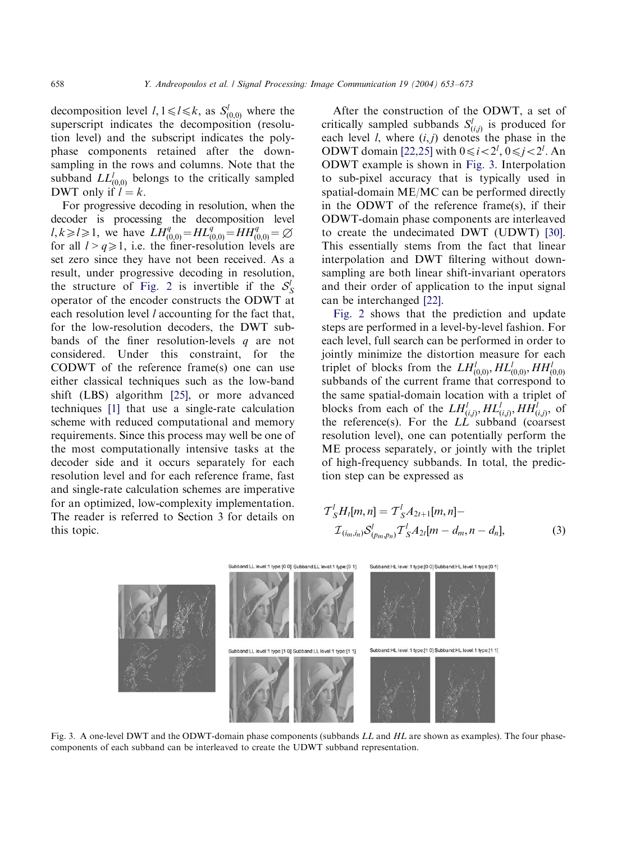decomposition level  $l, 1 \le l \le k$ , as  $S_{(0,0)}^l$  where the superscript indicates the decomposition (resolution level) and the subscript indicates the polyphase components retained after the downsampling in the rows and columns. Note that the subband  $LL^l_{(0,0)}$  belongs to the critically sampled DWT only if  $l = k$ .

For progressive decoding in resolution, when the decoder is processing the decomposition level  $l, k \ge l \ge 1$ , we have  $LH_{(0,0)}^q = HL_{(0,0)}^q = HH_{(0,0)}^q = \emptyset$ for all  $l > q \ge 1$ , i.e. the finer-resolution levels are set zero since they have not been received. As a result, under progressive decoding in resolution, the structure of [Fig. 2](#page-4-0) is invertible if the  $S_S^l$ operator of the encoder constructs the ODWT at each resolution level *l* accounting for the fact that, for the low-resolution decoders, the DWT subbands of the finer resolution-levels  $q$  are not considered. Under this constraint, for the CODWT of the reference frame(s) one can use either classical techniques such as the low-band shift (LBS) algorithm [\[25\],](#page-19-0) or more advanced techniques [\[1\]](#page-18-0) that use a single-rate calculation scheme with reduced computational and memory requirements. Since this process may well be one of the most computationally intensive tasks at the decoder side and it occurs separately for each resolution level and for each reference frame, fast and single-rate calculation schemes are imperative for an optimized, low-complexity implementation. The reader is referred to Section 3 for details on this topic.

After the construction of the ODWT, a set of critically sampled subbands  $S_{(i,j)}^{l}$  is produced for each level *l*, where  $(i, j)$  denotes the phase in the ODWT domain [\[22,25\]](#page-19-0) with  $0 \le i < 2^l$ ,  $0 \le j < 2^l$ . An ODWT example is shown in Fig. 3. Interpolation to sub-pixel accuracy that is typically used in spatial-domain ME/MC can be performed directly in the ODWT of the reference frame(s), if their ODWT-domain phase components are interleaved to create the undecimated DWT (UDWT) [\[30\]](#page-19-0). This essentially stems from the fact that linear interpolation and DWT filtering without downsampling are both linear shift-invariant operators and their order of application to the input signal can be interchanged [\[22\]](#page-19-0).

[Fig. 2](#page-4-0) shows that the prediction and update steps are performed in a level-by-level fashion. For each level, full search can be performed in order to jointly minimize the distortion measure for each triplet of blocks from the  $LH_{(0,0)}^l, HL_{(0,0)}^l, HH_{(0,0)}^l$ subbands of the current frame that correspond to the same spatial-domain location with a triplet of blocks from each of the  $LH_{(i,j)}^l, HL_{(i,j)}^l, HH_{(i,j)}^l,$  of the reference(s). For the  $LL$  subband (coarsest resolution level), one can potentially perform the ME process separately, or jointly with the triplet of high-frequency subbands. In total, the prediction step can be expressed as

$$
\mathcal{T}_{S}^{l}H_{l}[m,n] = \mathcal{T}_{S}^{l}A_{2l+1}[m,n] -
$$
  

$$
\mathcal{I}_{(i_{m},i_{n})}S_{(p_{m},p_{n})}^{l}\mathcal{T}_{S}^{l}A_{2l}[m-d_{m},n-d_{n}],
$$
 (3)



Fig. 3. A one-level DWT and the ODWT-domain phase components (subbands LL and HL are shown as examples). The four phasecomponents of each subband can be interleaved to create the UDWT subband representation.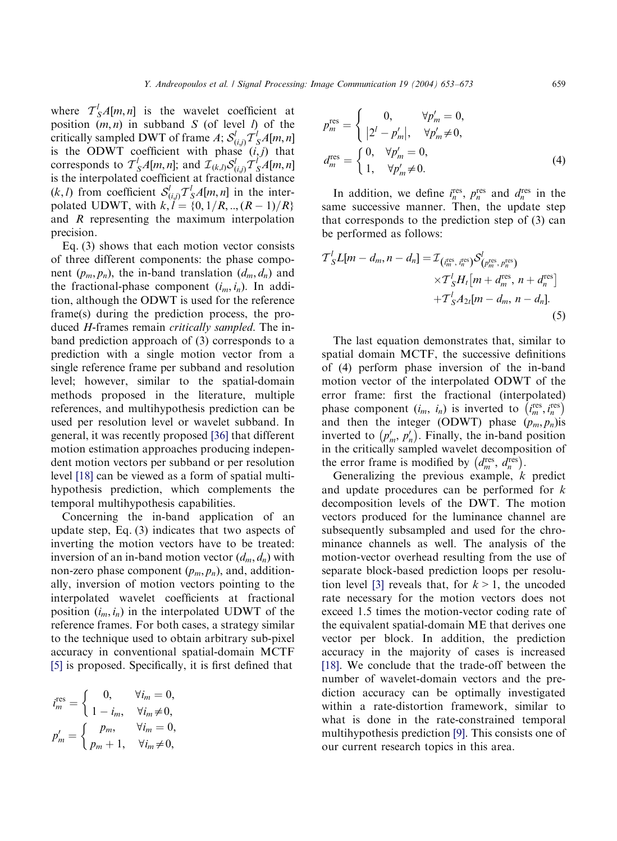where  $T_S^l A[m, n]$  is the wavelet coefficient at position  $(m, n)$  in subband S (of level l) of the critically sampled DWT of frame A;  $\mathcal{S}_{(i,j)}^l \mathcal{T}_S^l A[m,n]$ is the ODWT coefficient with phase  $(i, j)$  that corresponds to  $T_S^lA[m,n]$ ; and  $\mathcal{I}_{(k,l)}\mathcal{S}_{(i,j)}^lT_S^lA[m,n]$ is the interpolated coefficient at fractional distance  $(k, l)$  from coefficient  $S^l_{(i,j)} \mathcal{T}^l_S A[m, n]$  in the interpolated UDWT, with  $k, l = \{0, 1/R, ..., (R-1)/R\}$ and R representing the maximum interpolation precision.

Eq. (3) shows that each motion vector consists of three different components: the phase component  $(p_m, p_n)$ , the in-band translation  $(d_m, d_n)$  and the fractional-phase component  $(i_m, i_n)$ . In addition, although the ODWT is used for the reference frame(s) during the prediction process, the produced H-frames remain critically sampled. The inband prediction approach of (3) corresponds to a prediction with a single motion vector from a single reference frame per subband and resolution level; however, similar to the spatial-domain methods proposed in the literature, multiple references, and multihypothesis prediction can be used per resolution level or wavelet subband. In general, it was recently proposed [\[36\]](#page-19-0) that different motion estimation approaches producing independent motion vectors per subband or per resolution level [\[18\]](#page-19-0) can be viewed as a form of spatial multihypothesis prediction, which complements the temporal multihypothesis capabilities.

Concerning the in-band application of an update step, Eq. (3) indicates that two aspects of inverting the motion vectors have to be treated: inversion of an in-band motion vector  $(d_m, d_n)$  with non-zero phase component  $(p_m, p_n)$ , and, additionally, inversion of motion vectors pointing to the interpolated wavelet coefficients at fractional position  $(i_m, i_n)$  in the interpolated UDWT of the reference frames. For both cases, a strategy similar to the technique used to obtain arbitrary sub-pixel accuracy in conventional spatial-domain MCTF [\[5\]](#page-18-0) is proposed. Specifically, it is first defined that

$$
i_m^{\text{res}} = \begin{cases} 0, & \forall i_m = 0, \\ 1 - i_m, & \forall i_m \neq 0, \end{cases}
$$

$$
p'_m = \begin{cases} p_m, & \forall i_m = 0, \\ p_m + 1, & \forall i_m \neq 0, \end{cases}
$$

$$
p_m^{\text{res}} = \begin{cases} 0, & \forall p'_m = 0, \\ |2^l - p'_m|, & \forall p'_m \neq 0, \end{cases}
$$

$$
d_m^{\text{res}} = \begin{cases} 0, & \forall p'_m = 0, \\ 1, & \forall p'_m \neq 0. \end{cases}
$$
(4)

In addition, we define  $i_n^{\text{res}}, p_n^{\text{res}}$  and  $d_n^{\text{res}}$  in the same successive manner. Then, the update step that corresponds to the prediction step of (3) can be performed as follows:

$$
\mathcal{T}_{S}^{l}L[m-d_{m},n-d_{n}] = \mathcal{I}_{\left(i_{m}^{\text{res}}, i_{n}^{\text{res}}\right)} \mathcal{S}_{\left(p_{m}^{\text{res}}, p_{n}^{\text{res}}\right)}^{l}
$$
\n
$$
\times \mathcal{T}_{S}^{l}H_{l}[m+d_{m}^{\text{res}}, n+d_{n}^{\text{res}}]
$$
\n
$$
+ \mathcal{T}_{S}^{l}A_{2l}[m-d_{m}, n-d_{n}].
$$
\n(5)

The last equation demonstrates that, similar to spatial domain MCTF, the successive definitions of (4) perform phase inversion of the in-band motion vector of the interpolated ODWT of the error frame: first the fractional (interpolated) phase component  $(i_m, i_n)$  is inverted to  $(i_m^{res}, i_s^{res})$ and then the integer (ODWT) phase  $(p_m, p_n)$  is inverted to  $(p'_m, p'_n)$ . Finally, the in-band position in the critically sampled wavelet decomposition of the error frame is modified by  $(d_m^{\text{res}}, d_m^{\text{res}})$ .

Generalizing the previous example, k predict and update procedures can be performed for k decomposition levels of the DWT. The motion vectors produced for the luminance channel are subsequently subsampled and used for the chrominance channels as well. The analysis of the motion-vector overhead resulting from the use of separate block-based prediction loops per resolu-tion level [\[3\]](#page-18-0) reveals that, for  $k > 1$ , the uncoded rate necessary for the motion vectors does not exceed 1.5 times the motion-vector coding rate of the equivalent spatial-domain ME that derives one vector per block. In addition, the prediction accuracy in the majority of cases is increased [\[18\]](#page-19-0). We conclude that the trade-off between the number of wavelet-domain vectors and the prediction accuracy can be optimally investigated within a rate-distortion framework, similar to what is done in the rate-constrained temporal multihypothesis prediction [\[9\]](#page-19-0). This consists one of our current research topics in this area.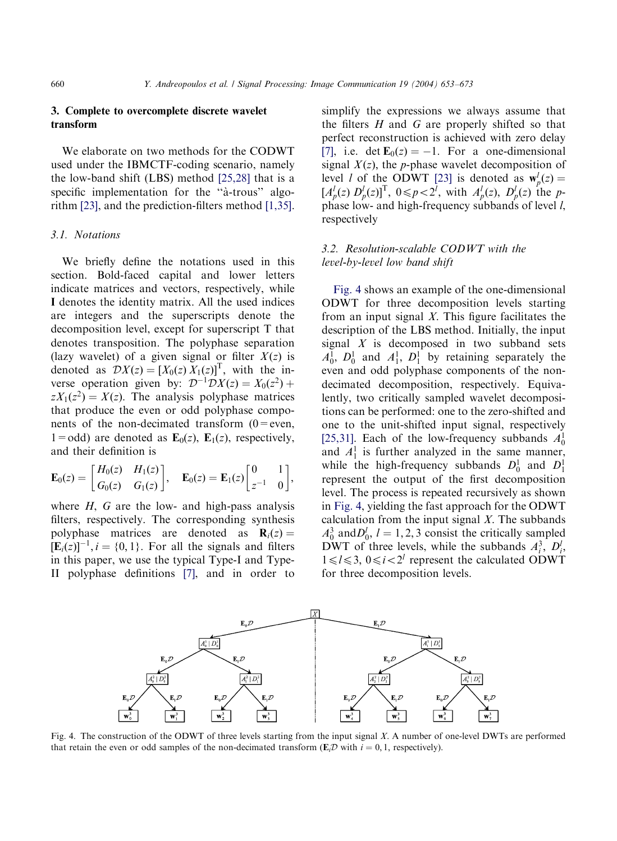## <span id="page-7-0"></span>3. Complete to overcomplete discrete wavelet transform

We elaborate on two methods for the CODWT used under the IBMCTF-coding scenario, namely the low-band shift (LBS) method [\[25,28\]](#page-19-0) that is a specific implementation for the "à-trous" algorithm [\[23\]](#page-19-0), and the prediction-filters method [\[1,35\]](#page-18-0).

#### 3.1. Notations

We briefly define the notations used in this section. Bold-faced capital and lower letters indicate matrices and vectors, respectively, while I denotes the identity matrix. All the used indices are integers and the superscripts denote the decomposition level, except for superscript T that denotes transposition. The polyphase separation (lazy wavelet) of a given signal or filter  $X(z)$  is denoted as  $\mathcal{D}X(z) = [X_0(z) X_1(z)]^T$ , with the inverse operation given by:  $\mathcal{D}^{-1} \mathcal{D}X(z) = X_0(z^2) +$  $zX_1(z^2) = X(z)$ . The analysis polyphase matrices that produce the even or odd polyphase components of the non-decimated transform  $(0 = even,$ 1=odd) are denoted as  $\mathbf{E}_0(z)$ ,  $\mathbf{E}_1(z)$ , respectively, and their definition is

$$
\mathbf{E}_0(z) = \begin{bmatrix} H_0(z) & H_1(z) \\ G_0(z) & G_1(z) \end{bmatrix}, \quad \mathbf{E}_0(z) = \mathbf{E}_1(z) \begin{bmatrix} 0 & 1 \\ z^{-1} & 0 \end{bmatrix},
$$

where  $H$ ,  $G$  are the low- and high-pass analysis filters, respectively. The corresponding synthesis polyphase matrices are denoted as  $\mathbf{R}_i(z) =$  $[\mathbf{E}_i(z)]^{-1}$ ,  $i = \{0, 1\}$ . For all the signals and filters in this paper, we use the typical Type-I and Type-II polyphase definitions [\[7\]](#page-19-0), and in order to

simplify the expressions we always assume that the filters  $H$  and  $G$  are properly shifted so that perfect reconstruction is achieved with zero delay [\[7\]](#page-19-0), i.e. det  $\mathbf{E}_0(z) = -1$ . For a one-dimensional signal  $X(z)$ , the p-phase wavelet decomposition of level *l* of the ODWT [\[23\]](#page-19-0) is denoted as  $w_p^l(z) =$  $[A_p^l(z) D_p^l(z)]^T$ ,  $0 \leq p < 2^l$ , with  $A_p^l(z)$ ,  $D_p^l(z)$  the pphase low- and high-frequency subbands of level  $l$ , respectively

# 3.2. Resolution-scalable CODWT with the level-by-level low band shift

Fig. 4 shows an example of the one-dimensional ODWT for three decomposition levels starting from an input signal  $X$ . This figure facilitates the description of the LBS method. Initially, the input signal  $X$  is decomposed in two subband sets  $A_0^1$ ,  $D_0^1$  and  $A_1^1$ ,  $D_1^1$  by retaining separately the even and odd polyphase components of the nondecimated decomposition, respectively. Equivalently, two critically sampled wavelet decompositions can be performed: one to the zero-shifted and one to the unit-shifted input signal, respectively [\[25,31\].](#page-19-0) Each of the low-frequency subbands  $A_0^1$ and  $A_1^1$  is further analyzed in the same manner, while the high-frequency subbands  $D_0^1$  and  $D_1^1$ represent the output of the first decomposition level. The process is repeated recursively as shown in Fig. 4, yielding the fast approach for the ODWT calculation from the input signal  $X$ . The subbands  $A_0^3$  and  $D_0^l$ ,  $l = 1, 2, 3$  consist the critically sampled DWT of three levels, while the subbands  $A_i^3$ ,  $D_i^l$ ,  $1 \le l \le 3$ ,  $0 \le i < 2^l$  represent the calculated ODWT for three decomposition levels.



Fig. 4. The construction of the ODWT of three levels starting from the input signal X. A number of one-level DWTs are performed that retain the even or odd samples of the non-decimated transform ( $\mathbf{E}_i \mathcal{D}$  with  $i = 0, 1$ , respectively).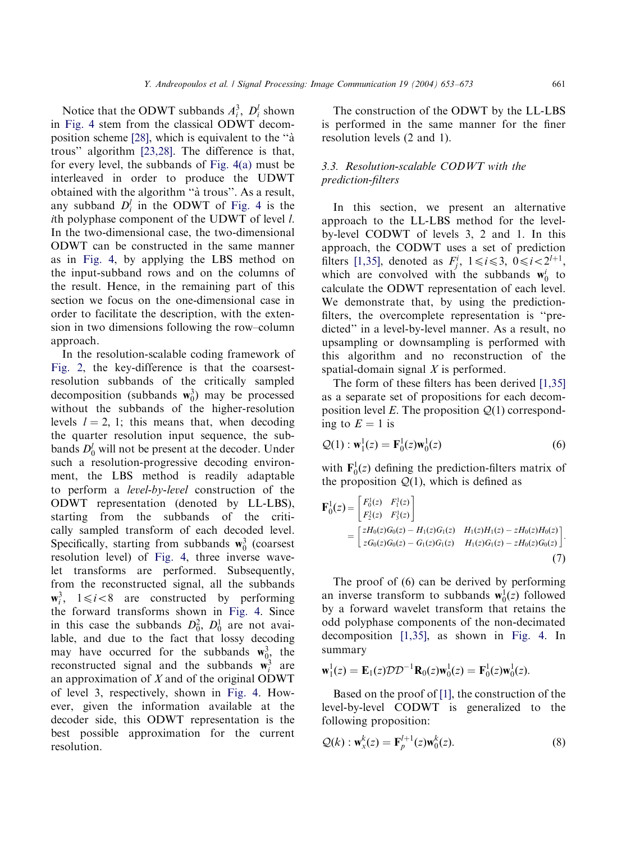Notice that the ODWT subbands  $A_i^3$ ,  $D_i^l$  shown in [Fig. 4](#page-7-0) stem from the classical ODWT decom-position scheme [\[28\]](#page-19-0), which is equivalent to the "a" trous'' algorithm [\[23,28\]](#page-19-0). The difference is that, for every level, the subbands of [Fig. 4\(a\)](#page-7-0) must be interleaved in order to produce the UDWT obtained with the algorithm "à trous". As a result, any subband  $D_i^l$  in the ODWT of [Fig. 4](#page-7-0) is the ith polyphase component of the UDWT of level l. In the two-dimensional case, the two-dimensional ODWT can be constructed in the same manner as in [Fig. 4,](#page-7-0) by applying the LBS method on the input-subband rows and on the columns of the result. Hence, in the remaining part of this section we focus on the one-dimensional case in order to facilitate the description, with the extension in two dimensions following the row–column approach.

In the resolution-scalable coding framework of [Fig. 2](#page-4-0), the key-difference is that the coarsestresolution subbands of the critically sampled decomposition (subbands  $w_0^3$ ) may be processed without the subbands of the higher-resolution levels  $l = 2$ , 1; this means that, when decoding the quarter resolution input sequence, the subbands  $D_0^l$  will not be present at the decoder. Under such a resolution-progressive decoding environment, the LBS method is readily adaptable to perform a level-by-level construction of the ODWT representation (denoted by LL-LBS), starting from the subbands of the critically sampled transform of each decoded level. Specifically, starting from subbands  $w_0^3$  (coarsest resolution level) of [Fig. 4](#page-7-0), three inverse wavelet transforms are performed. Subsequently, from the reconstructed signal, all the subbands  $\mathbf{w}_i^3$ ,  $1 \le i < 8$  are constructed by performing the forward transforms shown in [Fig. 4](#page-7-0). Since in this case the subbands  $D_0^2$ ,  $D_0^1$  are not available, and due to the fact that lossy decoding may have occurred for the subbands  $\mathbf{w}_{0}^3$ , the reconstructed signal and the subbands  $\mathbf{w}_i^3$  are an approximation of X and of the original ODWT of level 3, respectively, shown in [Fig. 4.](#page-7-0) However, given the information available at the decoder side, this ODWT representation is the best possible approximation for the current resolution.

The construction of the ODWT by the LL-LBS is performed in the same manner for the finer resolution levels (2 and 1).

# 3.3. Resolution-scalable CODWT with the prediction-filters

In this section, we present an alternative approach to the LL-LBS method for the levelby-level CODWT of levels 3, 2 and 1. In this approach, the CODWT uses a set of prediction filters [\[1,35\],](#page-18-0) denoted as  $F_j^i$ ,  $1 \le i \le 3$ ,  $0 \le i < 2^{l+1}$ , which are convolved with the subbands  $w_0^i$  to calculate the ODWT representation of each level. We demonstrate that, by using the predictionfilters, the overcomplete representation is ''predicted'' in a level-by-level manner. As a result, no upsampling or downsampling is performed with this algorithm and no reconstruction of the spatial-domain signal X is performed.

The form of these filters has been derived [\[1,35\]](#page-18-0) as a separate set of propositions for each decomposition level E. The proposition  $Q(1)$  corresponding to  $E = 1$  is

$$
\mathcal{Q}(1) : \mathbf{w}_1^1(z) = \mathbf{F}_0^1(z)\mathbf{w}_0^1(z)
$$
 (6)

with  $\mathbf{F}_0^1(z)$  defining the prediction-filters matrix of the proposition  $Q(1)$ , which is defined as

$$
\mathbf{F}_0^1(z) = \begin{bmatrix} F_0^1(z) & F_1^1(z) \\ F_2^1(z) & F_3^1(z) \end{bmatrix}
$$
  
= 
$$
\begin{bmatrix} zH_0(z)G_0(z) - H_1(z)G_1(z) & H_1(z)H_1(z) - zH_0(z)H_0(z) \\ zG_0(z)G_0(z) - G_1(z)G_1(z) & H_1(z)G_1(z) - zH_0(z)G_0(z) \end{bmatrix}.
$$

$$
(7)
$$

The proof of (6) can be derived by performing an inverse transform to subbands  $w_0^1(z)$  followed by a forward wavelet transform that retains the odd polyphase components of the non-decimated decomposition [\[1,35\]](#page-18-0), as shown in [Fig. 4](#page-7-0). In summary

$$
\mathbf{w}_1^1(z) = \mathbf{E}_1(z) \mathcal{D} \mathcal{D}^{-1} \mathbf{R}_0(z) \mathbf{w}_0^1(z) = \mathbf{F}_0^1(z) \mathbf{w}_0^1(z).
$$

Based on the proof of [\[1\]](#page-18-0), the construction of the level-by-level CODWT is generalized to the following proposition:

$$
\mathcal{Q}(k) : \mathbf{w}_x^k(z) = \mathbf{F}_p^{l+1}(z)\mathbf{w}_0^k(z). \tag{8}
$$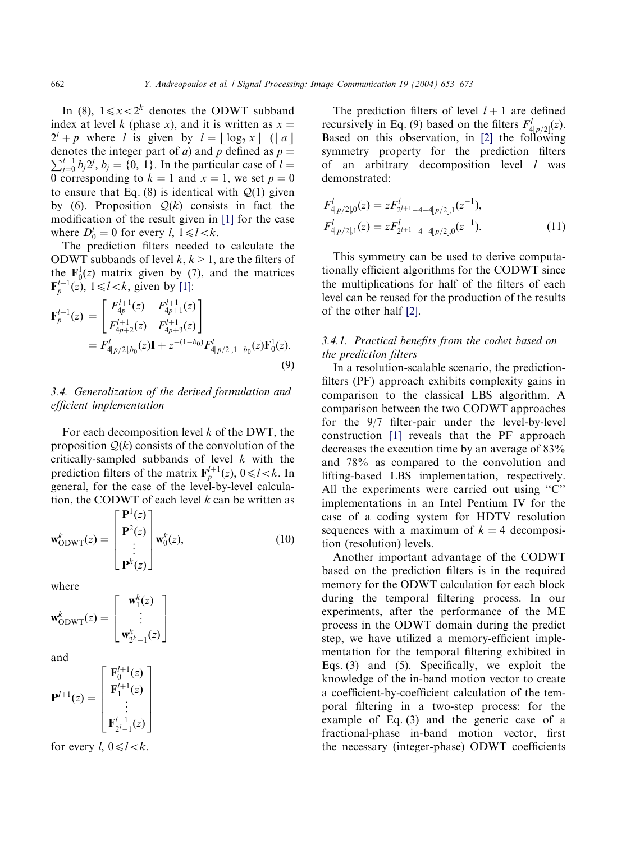In (8),  $1 \le x < 2^k$  denotes the ODWT subband index at level k (phase x), and it is written as  $x =$  $2^{l} + p$  where *l* is given by  $l = |\log_2 x|$  (| a| denotes the integer part of *a*) and *p* defined as  $p = \sum_{i=1}^{d} k_i y_i^i k_i$  (0, 1). In the particular case of *l*  $\sum_{j=0}^{l-1} b_j 2^j$ ,  $b_j = \{0, 1\}$ . In the particular case of  $l =$ 0 corresponding to  $k = 1$  and  $x = 1$ , we set  $p = 0$ to ensure that Eq. (8) is identical with  $Q(1)$  given by (6). Proposition  $Q(k)$  consists in fact the modification of the result given in [\[1\]](#page-18-0) for the case where  $D_0^l = 0$  for every l,  $1 \le l < k$ .

The prediction filters needed to calculate the ODWT subbands of level  $k, k > 1$ , are the filters of the  $\mathbf{F}_0^1(z)$  matrix given by (7), and the matrices  $\mathbf{F}_p^{l+1}(z)$ ,  $1 \le l < k$ , given by [\[1\]:](#page-18-0)

$$
\mathbf{F}_{p}^{l+1}(z) = \begin{bmatrix} F_{4p}^{l+1}(z) & F_{4p+1}^{l+1}(z) \\ F_{4p+2}^{l+1}(z) & F_{4p+3}^{l+1}(z) \end{bmatrix}
$$
  
=  $F_{4p/2}^{l} b_{0}(z) \mathbf{I} + z^{-(1-b_{0})} F_{4p/2}^{l} b_{1}^{(z)} b_{0}(z) \mathbf{F}_{0}^{1}(z).$  (9)

## 3.4. Generalization of the derived formulation and efficient implementation

For each decomposition level  $k$  of the DWT, the proposition  $Q(k)$  consists of the convolution of the critically-sampled subbands of level  $k$  with the prediction filters of the matrix  $\mathbf{F}_p^{l+1}(z)$ ,  $0 \le l < k$ . In general, for the case of the level-by-level calculation, the CODWT of each level  $k$  can be written as

$$
\mathbf{w}_{\text{ODWT}}^{k}(z) = \begin{bmatrix} \mathbf{P}^{1}(z) \\ \mathbf{P}^{2}(z) \\ \vdots \\ \mathbf{P}^{k}(z) \end{bmatrix} \mathbf{w}_{0}^{k}(z), \qquad (10)
$$

where

$$
\mathbf{w}_{\text{ODWT}}^k(z) = \begin{bmatrix} \mathbf{w}_1^k(z) \\ \vdots \\ \mathbf{w}_{2^k-1}^k(z) \end{bmatrix}
$$

and

$$
\mathbf{P}^{l+1}(z) = \begin{bmatrix} \mathbf{F}_0^{l+1}(z) \\ \mathbf{F}_1^{l+1}(z) \\ \vdots \\ \mathbf{F}_{2l-1}^{l+1}(z) \end{bmatrix}
$$

for every  $l, 0 \le l < k$ .

The prediction filters of level  $l + 1$  are defined recursively in Eq. (9) based on the filters  $F'_{\frac{4}{3}p/2}(z)$ . Based on this observation, in [\[2\]](#page-18-0) the following symmetry property for the prediction filters of an arbitrary decomposition level l was demonstrated:

$$
F'_{4|p/2|0}(z) = zF'_{2^{l+1}-4-4|p/2|,1}(z^{-1}),
$$
  
\n
$$
F'_{4|p/2|,1}(z) = zF'_{2^{l+1}-4-4|p/2|,0}(z^{-1}).
$$
\n(11)

This symmetry can be used to derive computationally efficient algorithms for the CODWT since the multiplications for half of the filters of each level can be reused for the production of the results of the other half [\[2\].](#page-18-0)

#### 3.4.1. Practical benefits from the codwt based on the prediction filters

In a resolution-scalable scenario, the predictionfilters (PF) approach exhibits complexity gains in comparison to the classical LBS algorithm. A comparison between the two CODWT approaches for the 9/7 filter-pair under the level-by-level construction [\[1\]](#page-18-0) reveals that the PF approach decreases the execution time by an average of 83% and 78% as compared to the convolution and lifting-based LBS implementation, respectively. All the experiments were carried out using "C" implementations in an Intel Pentium IV for the case of a coding system for HDTV resolution sequences with a maximum of  $k = 4$  decomposition (resolution) levels.

Another important advantage of the CODWT based on the prediction filters is in the required memory for the ODWT calculation for each block during the temporal filtering process. In our experiments, after the performance of the ME process in the ODWT domain during the predict step, we have utilized a memory-efficient implementation for the temporal filtering exhibited in Eqs. (3) and (5). Specifically, we exploit the knowledge of the in-band motion vector to create a coefficient-by-coefficient calculation of the temporal filtering in a two-step process: for the example of Eq. (3) and the generic case of a fractional-phase in-band motion vector, first the necessary (integer-phase) ODWT coefficients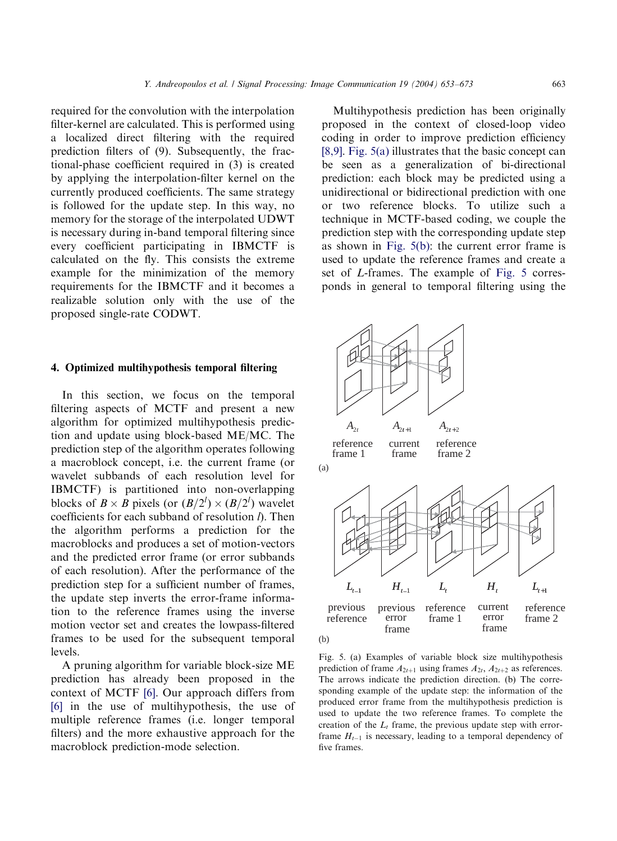<span id="page-10-0"></span>required for the convolution with the interpolation filter-kernel are calculated. This is performed using a localized direct filtering with the required prediction filters of (9). Subsequently, the fractional-phase coefficient required in (3) is created by applying the interpolation-filter kernel on the currently produced coefficients. The same strategy is followed for the update step. In this way, no memory for the storage of the interpolated UDWT is necessary during in-band temporal filtering since every coefficient participating in IBMCTF is calculated on the fly. This consists the extreme example for the minimization of the memory requirements for the IBMCTF and it becomes a realizable solution only with the use of the proposed single-rate CODWT.

#### 4. Optimized multihypothesis temporal filtering

In this section, we focus on the temporal filtering aspects of MCTF and present a new algorithm for optimized multihypothesis prediction and update using block-based ME/MC. The prediction step of the algorithm operates following a macroblock concept, i.e. the current frame (or wavelet subbands of each resolution level for IBMCTF) is partitioned into non-overlapping blocks of  $B \times B$  pixels (or  $(B/2<sup>l</sup>) \times (B/2<sup>l</sup>)$  wavelet coefficients for each subband of resolution  $\hat{D}$ . Then the algorithm performs a prediction for the macroblocks and produces a set of motion-vectors and the predicted error frame (or error subbands of each resolution). After the performance of the prediction step for a sufficient number of frames, the update step inverts the error-frame information to the reference frames using the inverse motion vector set and creates the lowpass-filtered frames to be used for the subsequent temporal levels.

A pruning algorithm for variable block-size ME prediction has already been proposed in the context of MCTF [\[6\]](#page-18-0). Our approach differs from [\[6\]](#page-18-0) in the use of multihypothesis, the use of multiple reference frames (i.e. longer temporal filters) and the more exhaustive approach for the macroblock prediction-mode selection.

Multihypothesis prediction has been originally proposed in the context of closed-loop video coding in order to improve prediction efficiency [\[8,9\]](#page-19-0). Fig. 5(a) illustrates that the basic concept can be seen as a generalization of bi-directional prediction: each block may be predicted using a unidirectional or bidirectional prediction with one or two reference blocks. To utilize such a technique in MCTF-based coding, we couple the prediction step with the corresponding update step as shown in Fig. 5(b): the current error frame is used to update the reference frames and create a set of L-frames. The example of Fig. 5 corresponds in general to temporal filtering using the



Fig. 5. (a) Examples of variable block size multihypothesis prediction of frame  $A_{2t+1}$  using frames  $A_{2t}, A_{2t+2}$  as references. The arrows indicate the prediction direction. (b) The corresponding example of the update step: the information of the produced error frame from the multihypothesis prediction is used to update the two reference frames. To complete the creation of the  $L_t$  frame, the previous update step with errorframe  $H_{t-1}$  is necessary, leading to a temporal dependency of five frames.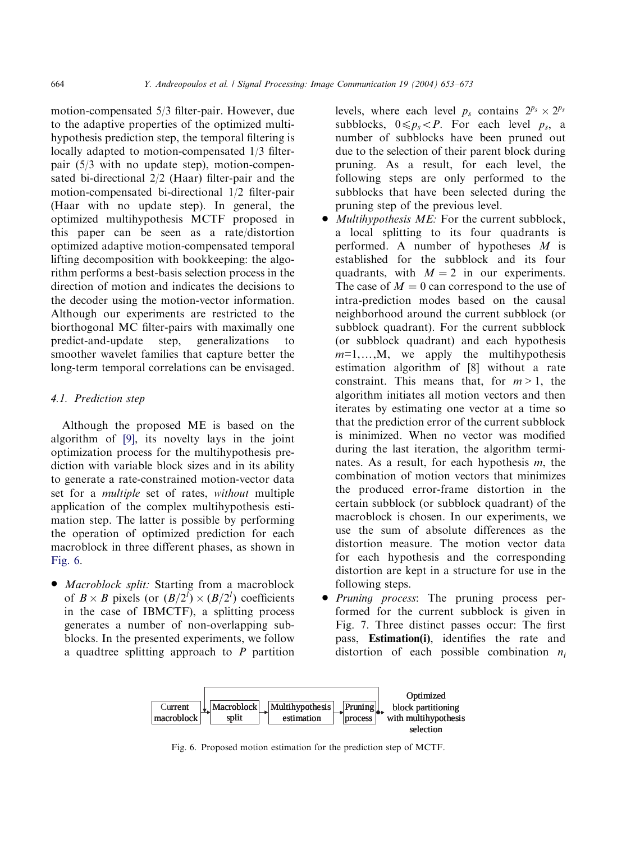motion-compensated 5/3 filter-pair. However, due to the adaptive properties of the optimized multihypothesis prediction step, the temporal filtering is locally adapted to motion-compensated 1/3 filterpair (5/3 with no update step), motion-compensated bi-directional 2/2 (Haar) filter-pair and the motion-compensated bi-directional 1/2 filter-pair (Haar with no update step). In general, the optimized multihypothesis MCTF proposed in this paper can be seen as a rate/distortion optimized adaptive motion-compensated temporal lifting decomposition with bookkeeping: the algo-

rithm performs a best-basis selection process in the direction of motion and indicates the decisions to the decoder using the motion-vector information. Although our experiments are restricted to the biorthogonal MC filter-pairs with maximally one predict-and-update step, generalizations to smoother wavelet families that capture better the long-term temporal correlations can be envisaged.

# 4.1. Prediction step

Although the proposed ME is based on the algorithm of [\[9\],](#page-19-0) its novelty lays in the joint optimization process for the multihypothesis prediction with variable block sizes and in its ability to generate a rate-constrained motion-vector data set for a multiple set of rates, without multiple application of the complex multihypothesis estimation step. The latter is possible by performing the operation of optimized prediction for each macroblock in three different phases, as shown in Fig. 6.

• *Macroblock split:* Starting from a macroblock of  $B \times B$  pixels (or  $(B/2^l) \times (B/2^l)$  coefficients in the case of IBMCTF), a splitting process generates a number of non-overlapping subblocks. In the presented experiments, we follow a quadtree splitting approach to  $P$  partition levels, where each level  $p_s$  contains  $2^{p_s} \times 2^{p_s}$ subblocks,  $0 \leq p_s < P$ . For each level  $p_s$ , a number of subblocks have been pruned out due to the selection of their parent block during pruning. As a result, for each level, the following steps are only performed to the subblocks that have been selected during the pruning step of the previous level.

- $\bullet$  *Multihypothesis ME:* For the current subblock, a local splitting to its four quadrants is performed. A number of hypotheses  $M$  is established for the subblock and its four quadrants, with  $M = 2$  in our experiments. The case of  $M = 0$  can correspond to the use of intra-prediction modes based on the causal neighborhood around the current subblock (or subblock quadrant). For the current subblock (or subblock quadrant) and each hypothesis  $m=1,\ldots,M$ , we apply the multihypothesis estimation algorithm of [8] without a rate constraint. This means that, for  $m > 1$ , the algorithm initiates all motion vectors and then iterates by estimating one vector at a time so that the prediction error of the current subblock is minimized. When no vector was modified during the last iteration, the algorithm terminates. As a result, for each hypothesis m, the combination of motion vectors that minimizes the produced error-frame distortion in the certain subblock (or subblock quadrant) of the macroblock is chosen. In our experiments, we use the sum of absolute differences as the distortion measure. The motion vector data for each hypothesis and the corresponding distortion are kept in a structure for use in the following steps.
- Pruning process: The pruning process performed for the current subblock is given in Fig. 7. Three distinct passes occur: The first pass, Estimation(i), identifies the rate and distortion of each possible combination  $n_i$



Fig. 6. Proposed motion estimation for the prediction step of MCTF.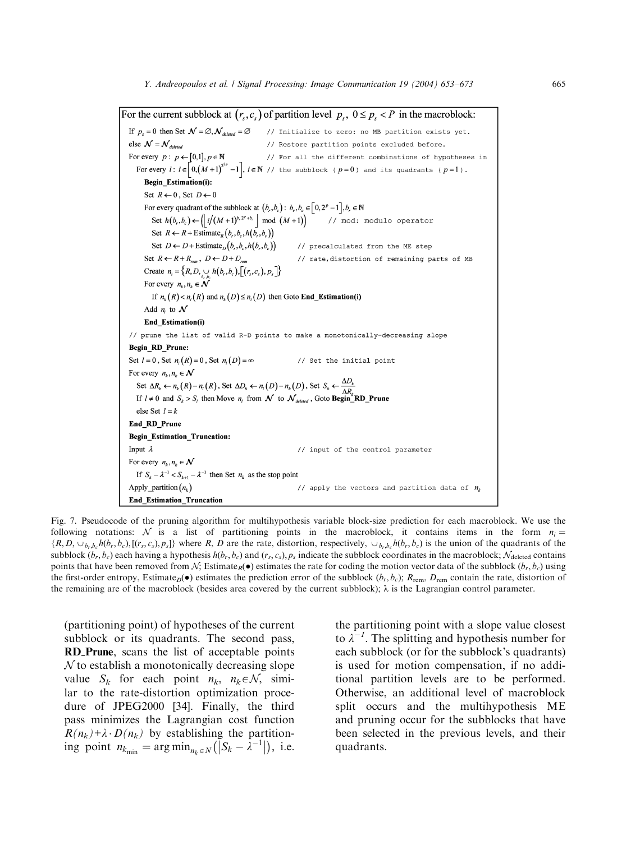<span id="page-12-0"></span>For the current subblock at  $(r_s, c_s)$  of partition level  $p_s$ ,  $0 \le p_s < P$  in the macroblock: If  $p_s = 0$  then Set  $\mathcal{N} = \emptyset, \mathcal{N}_{\text{deleted}} = \emptyset$  // Initialize to zero: no MB partition exists yet. else  $\mathcal{N} = \mathcal{N}_{deleted}$ // Restore partition points excluded before. For every  $p: p \leftarrow [0,1], p \in \mathbb{N}$ // For all the different combinations of hypotheses in For every  $i: i \in [0,(M+1)^{2^{2p}}-1]$ ,  $i \in \mathbb{N}$  // the subblock ( $p=0$ ) and its quadrants ( $p=1$ ). Begin\_Estimation(i): Set  $R \leftarrow 0$ , Set  $D \leftarrow 0$ For every quadrant of the subblock at  $(b_r, b_c)$ :  $b_r, b_c \in [0, 2^p - 1], b_r \in \mathbb{N}$ Set  $h(b_r, b_c) \leftarrow ||i/(M+1)^{b_r 2^r + b_c}|| \mod (M+1)||$  // mod: modulo operator Set  $R \leftarrow R + \text{Estimate}_R(b_r, b_c, h(b_r, b_c))$ Set  $D \leftarrow D + \text{Estimate}_D(b_r, b_c, h(b_r, b_c))$ // precalculated from the ME step Set  $R \leftarrow R + R_{rem}$ ,  $D \leftarrow D + D_{rem}$ // rate, distortion of remaining parts of MB Create  $n_i = \{R, D, \bigcup_{b} h(b_r, b_c), [(r_s, c_s), p_s] \}$ For every  $n_k, n_k \in \mathcal{N}$ If  $n_k(R) < n_i(R)$  and  $n_k(D) \le n_i(D)$  then Goto **End\_Estimation(i)** Add  $n_i$  to  $N$ End\_Estimation(i) // prune the list of valid R-D points to make a monotonically-decreasing slope Begin\_RD\_Prune: Set  $l = 0$ , Set  $n_l(R) = 0$ , Set  $n_l(D) = \infty$ // Set the initial point For every  $n_k, n_k \in \mathcal{N}$ Set  $\Delta R_k \leftarrow n_k(R) - n_i(R)$ , Set  $\Delta D_k \leftarrow n_i(D) - n_k(D)$ , Set  $S_k \leftarrow \frac{\Delta D_k}{\Delta R_k}$ <br>If  $l \neq 0$  and  $S_k > S_l$  then Move  $n_i$  from  $\mathcal N$  to  $\mathcal N_{\text{deleted}}$ , Goto Begin RD\_Prune else Set  $l = k$ End\_RD\_Prune Begin\_Estimation\_Truncation: Input  $\lambda$ // input of the control parameter For every  $n_k, n_k \in \mathcal{N}$ If  $S_k - \lambda^{-1} < S_{k+1} - \lambda^{-1}$  then Set  $n_k$  as the stop point Apply\_partition $(n_k)$ // apply the vectors and partition data of  $n_k$ **End\_Estimation\_Truncation** 

Fig. 7. Pseudocode of the pruning algorithm for multihypothesis variable block-size prediction for each macroblock. We use the following notations: N is a list of partitioning points in the macroblock, it contains items in the form  $n_i =$  $\{R, D, \cup_{b_1,b_2} h(b_1, b_2), [(r_s, c_s), p_s]\}$  where R, D are the rate, distortion, respectively,  $\cup_{b_1,b_2} h(b_1, b_2)$  is the union of the quadrants of the subblock  $(b_r, b_c)$  each having a hypothesis  $h(b_r, b_c)$  and  $(r_s, c_s)$ ,  $p_s$  indicate the subblock coordinates in the macroblock;  $\mathcal{N}_{\text{deleted}}$  contains points that have been removed from N; Estimate<sub>R</sub>( $\bullet$ ) estimates the rate for coding the motion vector data of the subblock  $(b_r, b_c)$  using the first-order entropy, Estimate<sub>D</sub>( $\bullet$ ) estimates the prediction error of the subblock ( $b_r$ ,  $b_c$ );  $R_{\text{rem}}$ ,  $D_{\text{rem}}$  contain the rate, distortion of the remaining are of the macroblock (besides area covered by the current subblock);  $\lambda$  is the Lagrangian control parameter.

(partitioning point) of hypotheses of the current subblock or its quadrants. The second pass, RD Prune, scans the list of acceptable points  $N$  to establish a monotonically decreasing slope value  $S_k$  for each point  $n_k$ ,  $n_k \in \mathcal{N}$ , similar to the rate-distortion optimization procedure of JPEG2000 [34]. Finally, the third pass minimizes the Lagrangian cost function  $R(n_k)+\lambda \cdot D(n_k)$  by establishing the partitioning point  $n_{k_{\text{min}}} = \arg \min_{n_k \in N} (|S_k - \lambda^{-1}|)$ , i.e.

the partitioning point with a slope value closest to  $\lambda^{-1}$ . The splitting and hypothesis number for each subblock (or for the subblock's quadrants) is used for motion compensation, if no additional partition levels are to be performed. Otherwise, an additional level of macroblock split occurs and the multihypothesis ME and pruning occur for the subblocks that have been selected in the previous levels, and their quadrants.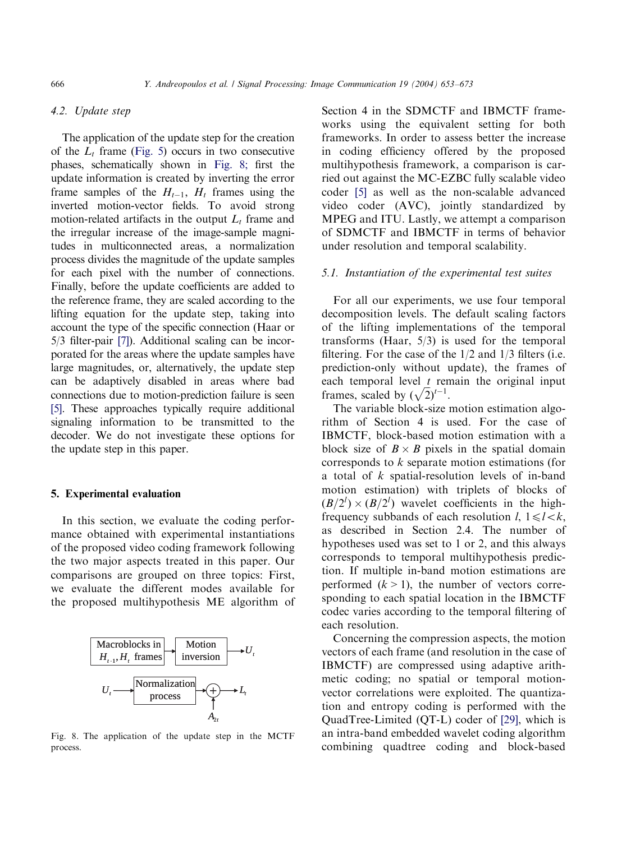## 4.2. Update step

The application of the update step for the creation of the  $L_t$  frame ([Fig. 5\)](#page-10-0) occurs in two consecutive phases, schematically shown in Fig. 8; first the update information is created by inverting the error frame samples of the  $H_{t-1}$ ,  $H_t$  frames using the inverted motion-vector fields. To avoid strong motion-related artifacts in the output  $L_t$  frame and the irregular increase of the image-sample magnitudes in multiconnected areas, a normalization process divides the magnitude of the update samples for each pixel with the number of connections. Finally, before the update coefficients are added to the reference frame, they are scaled according to the lifting equation for the update step, taking into account the type of the specific connection (Haar or 5/3 filter-pair [\[7\]\)](#page-19-0). Additional scaling can be incorporated for the areas where the update samples have large magnitudes, or, alternatively, the update step can be adaptively disabled in areas where bad connections due to motion-prediction failure is seen [\[5\].](#page-18-0) These approaches typically require additional signaling information to be transmitted to the decoder. We do not investigate these options for the update step in this paper.

#### 5. Experimental evaluation

In this section, we evaluate the coding performance obtained with experimental instantiations of the proposed video coding framework following the two major aspects treated in this paper. Our comparisons are grouped on three topics: First, we evaluate the different modes available for the proposed multihypothesis ME algorithm of



Fig. 8. The application of the update step in the MCTF process.

Section 4 in the SDMCTF and IBMCTF frameworks using the equivalent setting for both frameworks. In order to assess better the increase in coding efficiency offered by the proposed multihypothesis framework, a comparison is carried out against the MC-EZBC fully scalable video coder [\[5\]](#page-18-0) as well as the non-scalable advanced video coder (AVC), jointly standardized by MPEG and ITU. Lastly, we attempt a comparison of SDMCTF and IBMCTF in terms of behavior under resolution and temporal scalability.

#### 5.1. Instantiation of the experimental test suites

For all our experiments, we use four temporal decomposition levels. The default scaling factors of the lifting implementations of the temporal transforms (Haar, 5/3) is used for the temporal filtering. For the case of the 1/2 and 1/3 filters (i.e. prediction-only without update), the frames of each temporal level  $t$  remain the original input each temporar lever *t* feli<br>frames, scaled by  $(\sqrt{2})^{t-1}$ .

The variable block-size motion estimation algorithm of Section 4 is used. For the case of IBMCTF, block-based motion estimation with a block size of  $B \times B$  pixels in the spatial domain corresponds to k separate motion estimations (for a total of k spatial-resolution levels of in-band motion estimation) with triplets of blocks of  $(B/2^l) \times (B/2^l)$  wavelet coefficients in the highfrequency subbands of each resolution  $l, 1 \le l \le k$ , as described in Section 2.4. The number of hypotheses used was set to 1 or 2, and this always corresponds to temporal multihypothesis prediction. If multiple in-band motion estimations are performed  $(k > 1)$ , the number of vectors corresponding to each spatial location in the IBMCTF codec varies according to the temporal filtering of each resolution.

Concerning the compression aspects, the motion vectors of each frame (and resolution in the case of IBMCTF) are compressed using adaptive arithmetic coding; no spatial or temporal motionvector correlations were exploited. The quantization and entropy coding is performed with the QuadTree-Limited (QT-L) coder of [\[29\]](#page-19-0), which is an intra-band embedded wavelet coding algorithm combining quadtree coding and block-based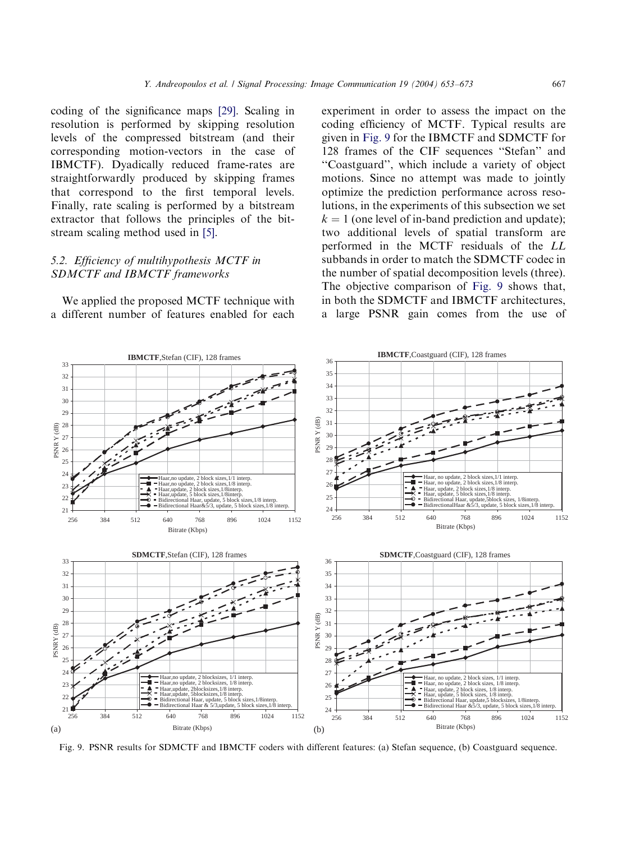coding of the significance maps [\[29\]](#page-19-0). Scaling in resolution is performed by skipping resolution levels of the compressed bitstream (and their corresponding motion-vectors in the case of IBMCTF). Dyadically reduced frame-rates are straightforwardly produced by skipping frames that correspond to the first temporal levels. Finally, rate scaling is performed by a bitstream extractor that follows the principles of the bitstream scaling method used in [\[5\]](#page-18-0).

# 5.2. Efficiency of multihypothesis MCTF in SDMCTF and IBMCTF frameworks

We applied the proposed MCTF technique with a different number of features enabled for each

experiment in order to assess the impact on the coding efficiency of MCTF. Typical results are given in Fig. 9 for the IBMCTF and SDMCTF for 128 frames of the CIF sequences ''Stefan'' and ''Coastguard'', which include a variety of object motions. Since no attempt was made to jointly optimize the prediction performance across resolutions, in the experiments of this subsection we set  $k = 1$  (one level of in-band prediction and update); two additional levels of spatial transform are performed in the MCTF residuals of the LL subbands in order to match the SDMCTF codec in the number of spatial decomposition levels (three). The objective comparison of Fig. 9 shows that, in both the SDMCTF and IBMCTF architectures, a large PSNR gain comes from the use of



Fig. 9. PSNR results for SDMCTF and IBMCTF coders with different features: (a) Stefan sequence, (b) Coastguard sequence.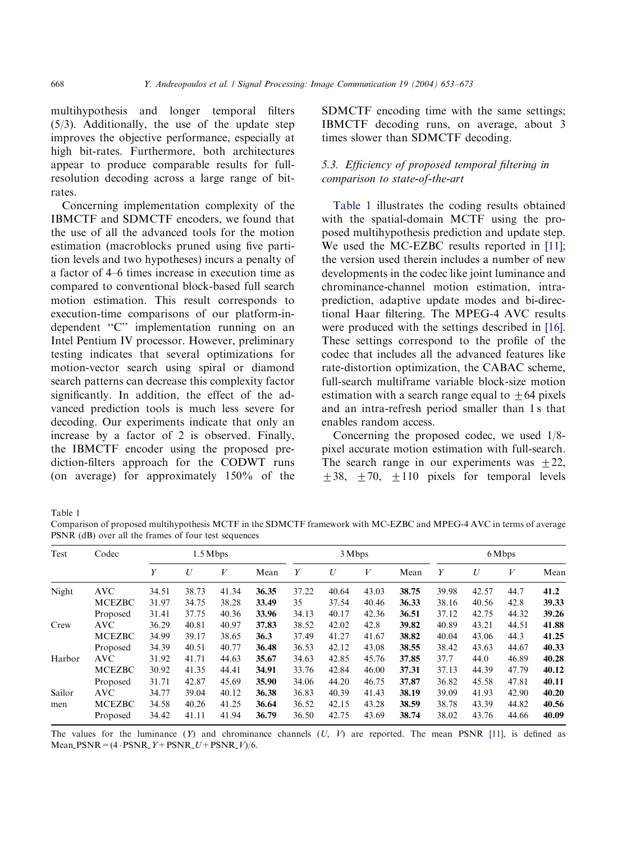multihypothesis and longer temporal filters (5/3). Additionally, the use of the update step improves the objective performance, especially at high bit-rates. Furthermore, both architectures appear to produce comparable results for fullresolution decoding across a large range of bitrates.

Concerning implementation complexity of the IBMCTF and SDMCTF encoders, we found that the use of all the advanced tools for the motion estimation (macroblocks pruned using five partition levels and two hypotheses) incurs a penalty of a factor of 4–6 times increase in execution time as compared to conventional block-based full search motion estimation. This result corresponds to execution-time comparisons of our platform-independent ''C'' implementation running on an Intel Pentium IV processor. However, preliminary testing indicates that several optimizations for motion-vector search using spiral or diamond search patterns can decrease this complexity factor significantly. In addition, the effect of the advanced prediction tools is much less severe for decoding. Our experiments indicate that only an increase by a factor of 2 is observed. Finally, the IBMCTF encoder using the proposed prediction-filters approach for the CODWT runs (on average) for approximately 150% of the SDMCTF encoding time with the same settings; IBMCTF decoding runs, on average, about 3 times slower than SDMCTF decoding.

## 5.3. Efficiency of proposed temporal filtering in comparison to state-of-the-art

Table 1 illustrates the coding results obtained with the spatial-domain MCTF using the proposed multihypothesis prediction and update step. We used the MC-EZBC results reported in [\[11\]](#page-19-0); the version used therein includes a number of new developments in the codec like joint luminance and chrominance-channel motion estimation, intraprediction, adaptive update modes and bi-directional Haar filtering. The MPEG-4 AVC results were produced with the settings described in [\[16\]](#page-19-0). These settings correspond to the profile of the codec that includes all the advanced features like rate-distortion optimization, the CABAC scheme, full-search multiframe variable block-size motion estimation with a search range equal to  $+64$  pixels and an intra-refresh period smaller than 1 s that enables random access.

Concerning the proposed codec, we used 1/8 pixel accurate motion estimation with full-search. The search range in our experiments was  $\pm 22$ ,  $+38$ ,  $+70$ ,  $+110$  pixels for temporal levels

Table 1

Comparison of proposed multihypothesis MCTF in the SDMCTF framework with MC-EZBC and MPEG-4 AVC in terms of average PSNR (dB) over all the frames of four test sequences

| Test   | Codec         | $1.5$ Mbps |       |       |       | 3 Mbps |       |       |       | 6 Mbps |       |       |       |
|--------|---------------|------------|-------|-------|-------|--------|-------|-------|-------|--------|-------|-------|-------|
|        |               | Υ          | U     | V     | Mean  | Y      | U     | V     | Mean  | Y      | U     | V     | Mean  |
| Night  | <b>AVC</b>    | 34.51      | 38.73 | 41.34 | 36.35 | 37.22  | 40.64 | 43.03 | 38.75 | 39.98  | 42.57 | 44.7  | 41.2  |
|        | <b>MCEZBC</b> | 31.97      | 34.75 | 38.28 | 33.49 | 35     | 37.54 | 40.46 | 36.33 | 38.16  | 40.56 | 42.8  | 39.33 |
|        | Proposed      | 31.41      | 37.75 | 40.36 | 33.96 | 34.13  | 40.17 | 42.36 | 36.51 | 37.12  | 42.75 | 44.32 | 39.26 |
| Crew   | AVC           | 36.29      | 40.81 | 40.97 | 37.83 | 38.52  | 42.02 | 42.8  | 39.82 | 40.89  | 43.21 | 44.51 | 41.88 |
|        | <b>MCEZBC</b> | 34.99      | 39.17 | 38.65 | 36.3  | 37.49  | 41.27 | 41.67 | 38.82 | 40.04  | 43.06 | 44.3  | 41.25 |
|        | Proposed      | 34.39      | 40.51 | 40.77 | 36.48 | 36.53  | 42.12 | 43.08 | 38.55 | 38.42  | 43.63 | 44.67 | 40.33 |
| Harbor | <b>AVC</b>    | 31.92      | 41.71 | 44.63 | 35.67 | 34.63  | 42.85 | 45.76 | 37.85 | 37.7   | 44.0  | 46.89 | 40.28 |
|        | <b>MCEZBC</b> | 30.92      | 41.35 | 44.41 | 34.91 | 33.76  | 42.84 | 46.00 | 37.31 | 37.13  | 44.39 | 47.79 | 40.12 |
|        | Proposed      | 31.71      | 42.87 | 45.69 | 35.90 | 34.06  | 44.20 | 46.75 | 37.87 | 36.82  | 45.58 | 47.81 | 40.11 |
| Sailor | <b>AVC</b>    | 34.77      | 39.04 | 40.12 | 36.38 | 36.83  | 40.39 | 41.43 | 38.19 | 39.09  | 41.93 | 42.90 | 40.20 |
| men    | <b>MCEZBC</b> | 34.58      | 40.26 | 41.25 | 36.64 | 36.52  | 42.15 | 43.28 | 38.59 | 38.78  | 43.39 | 44.82 | 40.56 |
|        | Proposed      | 34.42      | 41.11 | 41.94 | 36.79 | 36.50  | 42.75 | 43.69 | 38.74 | 38.02  | 43.76 | 44.66 | 40.09 |

The values for the luminance  $(Y)$  and chrominance channels  $(U, V)$  are reported. The mean PSNR [\[11\]](#page-19-0), is defined as Mean PSNR =  $(4 \cdot PSNR_Y + PSNR_U + PSNR_V)/6$ .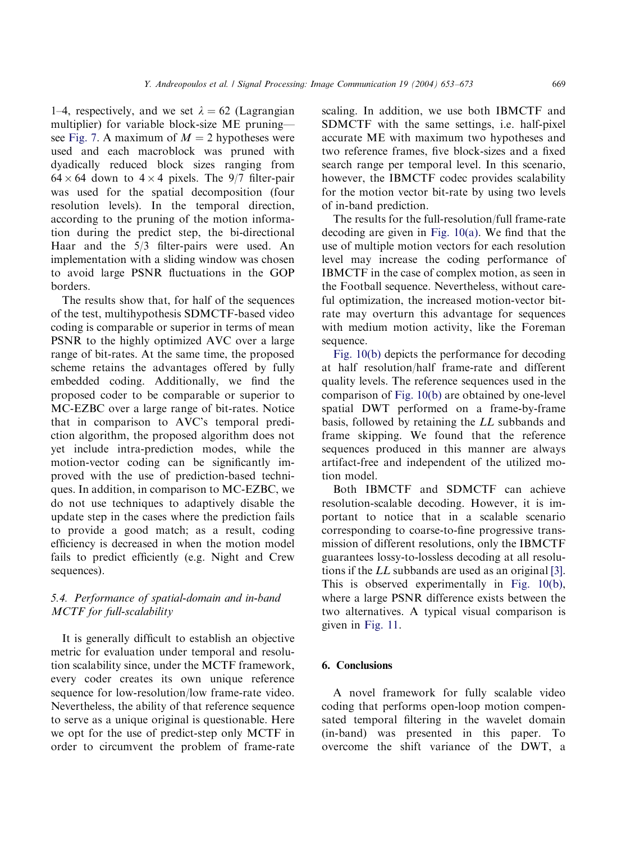1–4, respectively, and we set  $\lambda = 62$  (Lagrangian multiplier) for variable block-size ME pruning— see [Fig. 7](#page-12-0). A maximum of  $M = 2$  hypotheses were used and each macroblock was pruned with dyadically reduced block sizes ranging from  $64 \times 64$  down to  $4 \times 4$  pixels. The 9/7 filter-pair was used for the spatial decomposition (four resolution levels). In the temporal direction, according to the pruning of the motion information during the predict step, the bi-directional Haar and the 5/3 filter-pairs were used. An implementation with a sliding window was chosen to avoid large PSNR fluctuations in the GOP borders.

The results show that, for half of the sequences of the test, multihypothesis SDMCTF-based video coding is comparable or superior in terms of mean PSNR to the highly optimized AVC over a large range of bit-rates. At the same time, the proposed scheme retains the advantages offered by fully embedded coding. Additionally, we find the proposed coder to be comparable or superior to MC-EZBC over a large range of bit-rates. Notice that in comparison to AVC's temporal prediction algorithm, the proposed algorithm does not yet include intra-prediction modes, while the motion-vector coding can be significantly improved with the use of prediction-based techniques. In addition, in comparison to MC-EZBC, we do not use techniques to adaptively disable the update step in the cases where the prediction fails to provide a good match; as a result, coding efficiency is decreased in when the motion model fails to predict efficiently (e.g. Night and Crew sequences).

# 5.4. Performance of spatial-domain and in-band MCTF for full-scalability

It is generally difficult to establish an objective metric for evaluation under temporal and resolution scalability since, under the MCTF framework, every coder creates its own unique reference sequence for low-resolution/low frame-rate video. Nevertheless, the ability of that reference sequence to serve as a unique original is questionable. Here we opt for the use of predict-step only MCTF in order to circumvent the problem of frame-rate scaling. In addition, we use both IBMCTF and SDMCTF with the same settings, i.e. half-pixel accurate ME with maximum two hypotheses and two reference frames, five block-sizes and a fixed search range per temporal level. In this scenario, however, the IBMCTF codec provides scalability for the motion vector bit-rate by using two levels of in-band prediction.

The results for the full-resolution/full frame-rate decoding are given in [Fig. 10\(a\).](#page-17-0) We find that the use of multiple motion vectors for each resolution level may increase the coding performance of IBMCTF in the case of complex motion, as seen in the Football sequence. Nevertheless, without careful optimization, the increased motion-vector bitrate may overturn this advantage for sequences with medium motion activity, like the Foreman sequence.

[Fig. 10\(b\)](#page-17-0) depicts the performance for decoding at half resolution/half frame-rate and different quality levels. The reference sequences used in the comparison of [Fig. 10\(b\)](#page-17-0) are obtained by one-level spatial DWT performed on a frame-by-frame basis, followed by retaining the LL subbands and frame skipping. We found that the reference sequences produced in this manner are always artifact-free and independent of the utilized motion model.

Both IBMCTF and SDMCTF can achieve resolution-scalable decoding. However, it is important to notice that in a scalable scenario corresponding to coarse-to-fine progressive transmission of different resolutions, only the IBMCTF guarantees lossy-to-lossless decoding at all resolutions if the LL subbands are used as an original [\[3\]](#page-18-0). This is observed experimentally in [Fig. 10\(b\)](#page-17-0), where a large PSNR difference exists between the two alternatives. A typical visual comparison is given in [Fig. 11.](#page-18-0)

# 6. Conclusions

A novel framework for fully scalable video coding that performs open-loop motion compensated temporal filtering in the wavelet domain (in-band) was presented in this paper. To overcome the shift variance of the DWT, a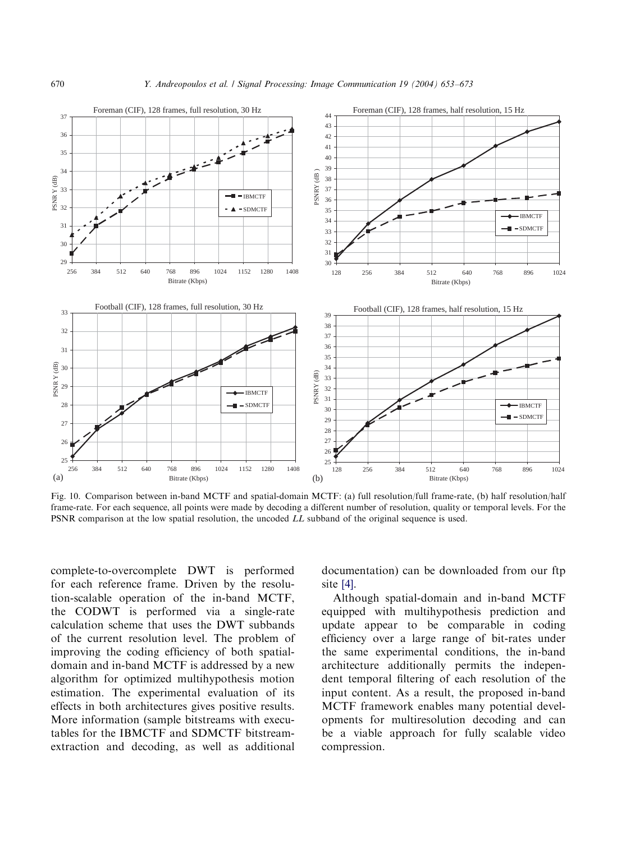<span id="page-17-0"></span>

Fig. 10. Comparison between in-band MCTF and spatial-domain MCTF: (a) full resolution/full frame-rate, (b) half resolution/half frame-rate. For each sequence, all points were made by decoding a different number of resolution, quality or temporal levels. For the PSNR comparison at the low spatial resolution, the uncoded LL subband of the original sequence is used.

complete-to-overcomplete DWT is performed for each reference frame. Driven by the resolution-scalable operation of the in-band MCTF, the CODWT is performed via a single-rate calculation scheme that uses the DWT subbands of the current resolution level. The problem of improving the coding efficiency of both spatialdomain and in-band MCTF is addressed by a new algorithm for optimized multihypothesis motion estimation. The experimental evaluation of its effects in both architectures gives positive results. More information (sample bitstreams with executables for the IBMCTF and SDMCTF bitstreamextraction and decoding, as well as additional

documentation) can be downloaded from our ftp site [\[4\].](#page-18-0)

Although spatial-domain and in-band MCTF equipped with multihypothesis prediction and update appear to be comparable in coding efficiency over a large range of bit-rates under the same experimental conditions, the in-band architecture additionally permits the independent temporal filtering of each resolution of the input content. As a result, the proposed in-band MCTF framework enables many potential developments for multiresolution decoding and can be a viable approach for fully scalable video compression.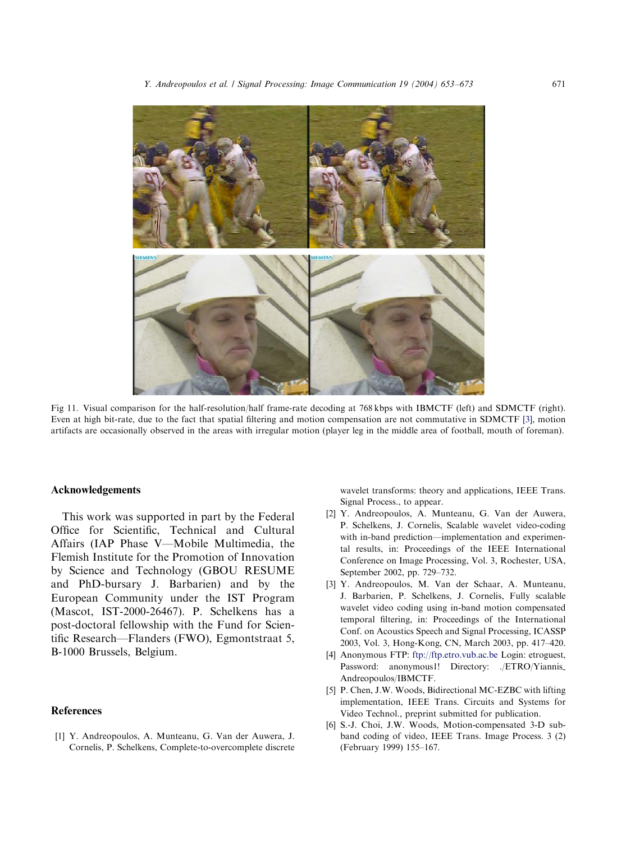<span id="page-18-0"></span>

Fig 11. Visual comparison for the half-resolution/half frame-rate decoding at 768 kbps with IBMCTF (left) and SDMCTF (right). Even at high bit-rate, due to the fact that spatial filtering and motion compensation are not commutative in SDMCTF [3], motion artifacts are occasionally observed in the areas with irregular motion (player leg in the middle area of football, mouth of foreman).

#### Acknowledgements

This work was supported in part by the Federal Office for Scientific, Technical and Cultural Affairs (IAP Phase V—Mobile Multimedia, the Flemish Institute for the Promotion of Innovation by Science and Technology (GBOU RESUME and PhD-bursary J. Barbarien) and by the European Community under the IST Program (Mascot, IST-2000-26467). P. Schelkens has a post-doctoral fellowship with the Fund for Scientific Research—Flanders (FWO), Egmontstraat 5, B-1000 Brussels, Belgium.

#### References

[1] Y. Andreopoulos, A. Munteanu, G. Van der Auwera, J. Cornelis, P. Schelkens, Complete-to-overcomplete discrete wavelet transforms: theory and applications, IEEE Trans. Signal Process., to appear.

- [2] Y. Andreopoulos, A. Munteanu, G. Van der Auwera, P. Schelkens, J. Cornelis, Scalable wavelet video-coding with in-band prediction—implementation and experimental results, in: Proceedings of the IEEE International Conference on Image Processing, Vol. 3, Rochester, USA, September 2002, pp. 729–732.
- [3] Y. Andreopoulos, M. Van der Schaar, A. Munteanu, J. Barbarien, P. Schelkens, J. Cornelis, Fully scalable wavelet video coding using in-band motion compensated temporal filtering, in: Proceedings of the International Conf. on Acoustics Speech and Signal Processing, ICASSP 2003, Vol. 3, Hong-Kong, CN, March 2003, pp. 417–420.
- [4] Anonymous FTP: <ftp://ftp.etro.vub.ac.be> Login: etroguest, Password: anonymous1! Directory: ./ETRO/Yiannis Andreopoulos/IBMCTF.
- [5] P. Chen, J.W. Woods, Bidirectional MC-EZBC with lifting implementation, IEEE Trans. Circuits and Systems for Video Technol., preprint submitted for publication.
- [6] S.-J. Choi, J.W. Woods, Motion-compensated 3-D subband coding of video, IEEE Trans. Image Process. 3 (2) (February 1999) 155–167.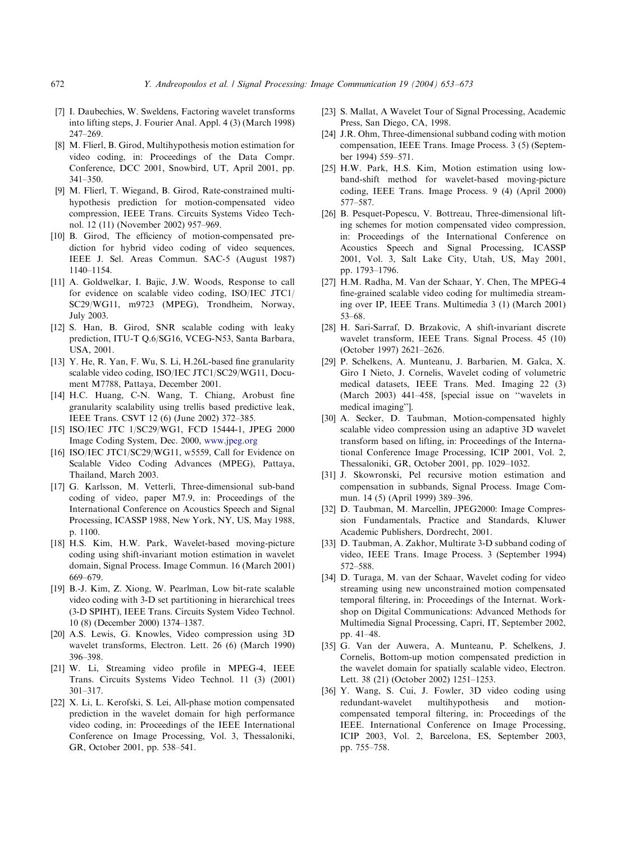- <span id="page-19-0"></span>672 Y. Andreopoulos et al. / Signal Processing: Image Communication 19 (2004) 653–673
- [7] I. Daubechies, W. Sweldens, Factoring wavelet transforms into lifting steps, J. Fourier Anal. Appl. 4 (3) (March 1998) 247–269.
- [8] M. Flierl, B. Girod, Multihypothesis motion estimation for video coding, in: Proceedings of the Data Compr. Conference, DCC 2001, Snowbird, UT, April 2001, pp. 341–350.
- [9] M. Flierl, T. Wiegand, B. Girod, Rate-constrained multihypothesis prediction for motion-compensated video compression, IEEE Trans. Circuits Systems Video Technol. 12 (11) (November 2002) 957–969.
- [10] B. Girod, The efficiency of motion-compensated prediction for hybrid video coding of video sequences, IEEE J. Sel. Areas Commun. SAC-5 (August 1987) 1140–1154.
- [11] A. Goldwelkar, I. Bajic, J.W. Woods, Response to call for evidence on scalable video coding, ISO/IEC JTC1/ SC29/WG11, m9723 (MPEG), Trondheim, Norway, July 2003.
- [12] S. Han, B. Girod, SNR scalable coding with leaky prediction, ITU-T Q.6/SG16, VCEG-N53, Santa Barbara, USA, 2001.
- [13] Y. He, R. Yan, F. Wu, S. Li, H.26L-based fine granularity scalable video coding, ISO/IEC JTC1/SC29/WG11, Document M7788, Pattaya, December 2001.
- [14] H.C. Huang, C-N. Wang, T. Chiang, Arobust fine granularity scalability using trellis based predictive leak, IEEE Trans. CSVT 12 (6) (June 2002) 372–385.
- [15] ISO/IEC JTC 1/SC29/WG1, FCD 15444-1, JPEG 2000 Image Coding System, Dec. 2000, [www.jpeg.org](http://www.jpeg.org)
- [16] ISO/IEC JTC1/SC29/WG11, w5559, Call for Evidence on Scalable Video Coding Advances (MPEG), Pattaya, Thailand, March 2003.
- [17] G. Karlsson, M. Vetterli, Three-dimensional sub-band coding of video, paper M7.9, in: Proceedings of the International Conference on Acoustics Speech and Signal Processing, ICASSP 1988, New York, NY, US, May 1988, p. 1100.
- [18] H.S. Kim, H.W. Park, Wavelet-based moving-picture coding using shift-invariant motion estimation in wavelet domain, Signal Process. Image Commun. 16 (March 2001) 669–679.
- [19] B.-J. Kim, Z. Xiong, W. Pearlman, Low bit-rate scalable video coding with 3-D set partitioning in hierarchical trees (3-D SPIHT), IEEE Trans. Circuits System Video Technol. 10 (8) (December 2000) 1374–1387.
- [20] A.S. Lewis, G. Knowles, Video compression using 3D wavelet transforms, Electron. Lett. 26 (6) (March 1990) 396–398.
- [21] W. Li, Streaming video profile in MPEG-4, IEEE Trans. Circuits Systems Video Technol. 11 (3) (2001) 301–317.
- [22] X. Li, L. Kerofski, S. Lei, All-phase motion compensated prediction in the wavelet domain for high performance video coding, in: Proceedings of the IEEE International Conference on Image Processing, Vol. 3, Thessaloniki, GR, October 2001, pp. 538–541.
- [23] S. Mallat, A Wavelet Tour of Signal Processing, Academic Press, San Diego, CA, 1998.
- [24] J.R. Ohm, Three-dimensional subband coding with motion compensation, IEEE Trans. Image Process. 3 (5) (September 1994) 559–571.
- [25] H.W. Park, H.S. Kim, Motion estimation using lowband-shift method for wavelet-based moving-picture coding, IEEE Trans. Image Process. 9 (4) (April 2000) 577–587.
- [26] B. Pesquet-Popescu, V. Bottreau, Three-dimensional lifting schemes for motion compensated video compression, in: Proceedings of the International Conference on Acoustics Speech and Signal Processing, ICASSP 2001, Vol. 3, Salt Lake City, Utah, US, May 2001, pp. 1793–1796.
- [27] H.M. Radha, M. Van der Schaar, Y. Chen, The MPEG-4 fine-grained scalable video coding for multimedia streaming over IP, IEEE Trans. Multimedia 3 (1) (March 2001) 53–68.
- [28] H. Sari-Sarraf, D. Brzakovic, A shift-invariant discrete wavelet transform, IEEE Trans. Signal Process. 45 (10) (October 1997) 2621–2626.
- [29] P. Schelkens, A. Munteanu, J. Barbarien, M. Galca, X. Giro I Nieto, J. Cornelis, Wavelet coding of volumetric medical datasets, IEEE Trans. Med. Imaging 22 (3) (March 2003) 441–458, [special issue on ''wavelets in medical imaging''].
- [30] A. Secker, D. Taubman, Motion-compensated highly scalable video compression using an adaptive 3D wavelet transform based on lifting, in: Proceedings of the International Conference Image Processing, ICIP 2001, Vol. 2, Thessaloniki, GR, October 2001, pp. 1029–1032.
- [31] J. Skowronski, Pel recursive motion estimation and compensation in subbands, Signal Process. Image Commun. 14 (5) (April 1999) 389–396.
- [32] D. Taubman, M. Marcellin, JPEG2000: Image Compression Fundamentals, Practice and Standards, Kluwer Academic Publishers, Dordrecht, 2001.
- [33] D. Taubman, A. Zakhor, Multirate 3-D subband coding of video, IEEE Trans. Image Process. 3 (September 1994) 572–588.
- [34] D. Turaga, M. van der Schaar, Wavelet coding for video streaming using new unconstrained motion compensated temporal filtering, in: Proceedings of the Internat. Workshop on Digital Communications: Advanced Methods for Multimedia Signal Processing, Capri, IT, September 2002, pp. 41–48.
- [35] G. Van der Auwera, A. Munteanu, P. Schelkens, J. Cornelis, Bottom-up motion compensated prediction in the wavelet domain for spatially scalable video, Electron. Lett. 38 (21) (October 2002) 1251–1253.
- [36] Y. Wang, S. Cui, J. Fowler, 3D video coding using redundant-wavelet multihypothesis and motioncompensated temporal filtering, in: Proceedings of the IEEE. International Conference on Image Processing, ICIP 2003, Vol. 2, Barcelona, ES, September 2003, pp. 755–758.